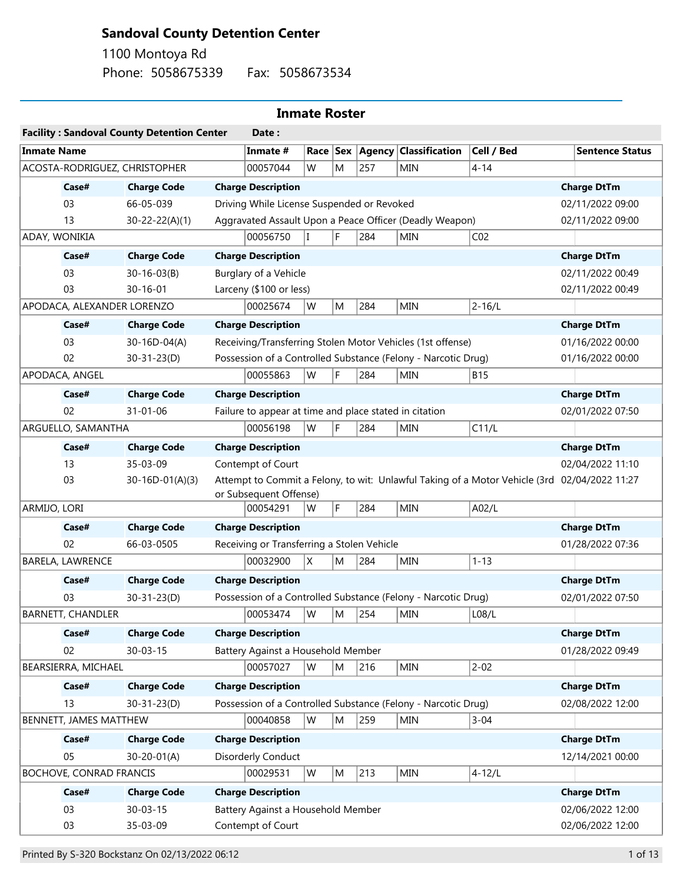## **Sandoval County Detention Center**

Phone: 5058675339 Fax: 5058673534 1100 Montoya Rd

## **Inmate Roster**

|                                                                                                                         |                          | <b>Facility: Sandoval County Detention Center</b> |                           | Date:                                                      |                    |                  |            |                                                               |                 |                        |
|-------------------------------------------------------------------------------------------------------------------------|--------------------------|---------------------------------------------------|---------------------------|------------------------------------------------------------|--------------------|------------------|------------|---------------------------------------------------------------|-----------------|------------------------|
| <b>Inmate Name</b>                                                                                                      |                          |                                                   |                           | Inmate #                                                   |                    |                  |            | Race Sex Agency Classification                                | Cell / Bed      | <b>Sentence Status</b> |
|                                                                                                                         |                          | ACOSTA-RODRIGUEZ, CHRISTOPHER                     |                           | 00057044                                                   | W                  | M                | 257        | MIN                                                           | $4 - 14$        |                        |
|                                                                                                                         | Case#                    | <b>Charge Code</b>                                |                           | <b>Charge Description</b>                                  |                    |                  |            |                                                               |                 | <b>Charge DtTm</b>     |
|                                                                                                                         | 03                       | 66-05-039                                         |                           | Driving While License Suspended or Revoked                 |                    |                  |            |                                                               |                 | 02/11/2022 09:00       |
|                                                                                                                         | 13                       | $30 - 22 - 22(A)(1)$                              |                           |                                                            |                    |                  |            | Aggravated Assault Upon a Peace Officer (Deadly Weapon)       |                 | 02/11/2022 09:00       |
| ADAY, WONIKIA                                                                                                           |                          |                                                   |                           | 00056750                                                   | $\mathsf{I}$       | F.               | 284        | <b>MIN</b>                                                    | CO <sub>2</sub> |                        |
|                                                                                                                         | Case#                    | <b>Charge Code</b>                                |                           | <b>Charge Description</b>                                  |                    |                  |            |                                                               |                 | <b>Charge DtTm</b>     |
|                                                                                                                         | 03                       | $30 - 16 - 03(B)$                                 |                           | Burglary of a Vehicle                                      |                    |                  |            |                                                               |                 | 02/11/2022 00:49       |
|                                                                                                                         | 03                       | $30 - 16 - 01$                                    |                           | Larceny (\$100 or less)                                    |                    |                  |            |                                                               |                 | 02/11/2022 00:49       |
| APODACA, ALEXANDER LORENZO                                                                                              |                          |                                                   | 00025674                  | W                                                          | M                  | 284              | MIN        | $2 - 16/L$                                                    |                 |                        |
|                                                                                                                         | Case#                    | <b>Charge Code</b>                                |                           | <b>Charge Description</b>                                  | <b>Charge DtTm</b> |                  |            |                                                               |                 |                        |
|                                                                                                                         | 03                       | 30-16D-04(A)                                      |                           | Receiving/Transferring Stolen Motor Vehicles (1st offense) |                    | 01/16/2022 00:00 |            |                                                               |                 |                        |
|                                                                                                                         | 02                       | $30 - 31 - 23(D)$                                 |                           |                                                            |                    |                  |            | Possession of a Controlled Substance (Felony - Narcotic Drug) |                 | 01/16/2022 00:00       |
|                                                                                                                         | APODACA, ANGEL           |                                                   |                           | 00055863                                                   | W                  | F                | 284        | <b>MIN</b>                                                    | <b>B15</b>      |                        |
|                                                                                                                         | Case#                    | <b>Charge Code</b>                                |                           | <b>Charge Description</b>                                  |                    |                  |            |                                                               |                 | <b>Charge DtTm</b>     |
|                                                                                                                         | 02                       | $31 - 01 - 06$                                    |                           | Failure to appear at time and place stated in citation     |                    | 02/01/2022 07:50 |            |                                                               |                 |                        |
| ARGUELLO, SAMANTHA                                                                                                      |                          |                                                   | 00056198                  | W                                                          | F                  | 284              | <b>MIN</b> | C11/L                                                         |                 |                        |
|                                                                                                                         | Case#                    | <b>Charge Code</b>                                |                           | <b>Charge Description</b>                                  |                    |                  |            |                                                               |                 | <b>Charge DtTm</b>     |
|                                                                                                                         | 13                       | 35-03-09                                          |                           | Contempt of Court                                          |                    |                  |            |                                                               |                 | 02/04/2022 11:10       |
| 03<br>$30-16D-01(A)(3)$<br>Attempt to Commit a Felony, to wit: Unlawful Taking of a Motor Vehicle (3rd 02/04/2022 11:27 |                          |                                                   |                           |                                                            |                    |                  |            |                                                               |                 |                        |
|                                                                                                                         |                          |                                                   |                           | or Subsequent Offense)                                     |                    |                  |            |                                                               |                 |                        |
| ARMIJO, LORI                                                                                                            |                          |                                                   |                           | 00054291                                                   | W                  | F                | 284        | <b>MIN</b>                                                    | A02/L           |                        |
|                                                                                                                         | Case#                    | <b>Charge Code</b>                                |                           | <b>Charge Description</b>                                  |                    |                  |            |                                                               |                 | <b>Charge DtTm</b>     |
|                                                                                                                         | 02                       | 66-03-0505                                        |                           | Receiving or Transferring a Stolen Vehicle                 |                    |                  |            |                                                               |                 | 01/28/2022 07:36       |
|                                                                                                                         | BARELA, LAWRENCE         |                                                   |                           | 00032900                                                   | X                  | M                | 284        | <b>MIN</b>                                                    | $1 - 13$        |                        |
|                                                                                                                         | Case#                    | <b>Charge Code</b>                                |                           | <b>Charge Description</b>                                  |                    |                  |            |                                                               |                 | <b>Charge DtTm</b>     |
|                                                                                                                         | 03                       | $30 - 31 - 23(D)$                                 |                           |                                                            |                    |                  |            | Possession of a Controlled Substance (Felony - Narcotic Drug) |                 | 02/01/2022 07:50       |
|                                                                                                                         | <b>BARNETT, CHANDLER</b> |                                                   |                           | 00053474                                                   | W                  | M                | 254        | <b>MIN</b>                                                    | L08/L           |                        |
|                                                                                                                         | Case#                    | <b>Charge Code</b>                                |                           | <b>Charge Description</b>                                  |                    |                  |            |                                                               |                 | <b>Charge DtTm</b>     |
|                                                                                                                         | 02                       | $30 - 03 - 15$                                    |                           | Battery Against a Household Member                         |                    |                  |            |                                                               |                 | 01/28/2022 09:49       |
|                                                                                                                         | BEARSIERRA, MICHAEL      |                                                   |                           | 00057027                                                   | W                  | M                | 216        | MIN                                                           | $2 - 02$        |                        |
|                                                                                                                         | Case#                    | <b>Charge Code</b>                                |                           | <b>Charge Description</b>                                  |                    |                  |            |                                                               |                 | <b>Charge DtTm</b>     |
|                                                                                                                         | 13                       | $30 - 31 - 23(D)$                                 |                           |                                                            |                    |                  |            | Possession of a Controlled Substance (Felony - Narcotic Drug) |                 | 02/08/2022 12:00       |
|                                                                                                                         | BENNETT, JAMES MATTHEW   |                                                   |                           | 00040858                                                   | W                  | M                | 259        | MIN                                                           | $3 - 04$        |                        |
|                                                                                                                         | Case#                    | <b>Charge Code</b>                                |                           | <b>Charge Description</b>                                  |                    |                  |            |                                                               |                 | <b>Charge DtTm</b>     |
|                                                                                                                         | 05                       | $30 - 20 - 01(A)$                                 |                           | Disorderly Conduct                                         |                    |                  |            |                                                               |                 | 12/14/2021 00:00       |
|                                                                                                                         | BOCHOVE, CONRAD FRANCIS  |                                                   |                           | 00029531                                                   | W                  | M                | 213        | <b>MIN</b>                                                    | $4 - 12/L$      |                        |
|                                                                                                                         | Case#                    | <b>Charge Code</b>                                | <b>Charge Description</b> |                                                            |                    |                  |            | <b>Charge DtTm</b>                                            |                 |                        |
|                                                                                                                         | 03                       | $30 - 03 - 15$                                    |                           | Battery Against a Household Member                         |                    |                  |            |                                                               |                 | 02/06/2022 12:00       |
|                                                                                                                         | 03                       | 35-03-09                                          |                           | Contempt of Court                                          |                    |                  |            |                                                               |                 | 02/06/2022 12:00       |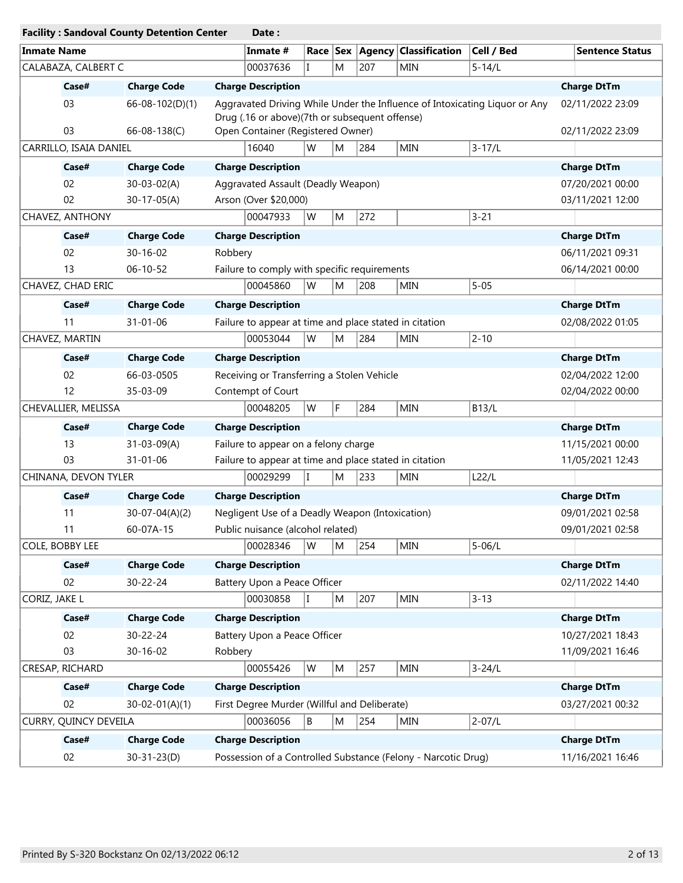|                                     |                        | <b>Facility: Sandoval County Detention Center</b> |         | Date:                                                  |              |                  |                  |                                                               |                                                                            |                        |
|-------------------------------------|------------------------|---------------------------------------------------|---------|--------------------------------------------------------|--------------|------------------|------------------|---------------------------------------------------------------|----------------------------------------------------------------------------|------------------------|
| <b>Inmate Name</b>                  |                        |                                                   |         | Inmate #                                               |              |                  |                  | Race   Sex   Agency   Classification                          | Cell / Bed                                                                 | <b>Sentence Status</b> |
|                                     | CALABAZA, CALBERT C    |                                                   |         | 00037636                                               | L            | M                | 207              | <b>MIN</b>                                                    | $5 - 14/L$                                                                 |                        |
|                                     | Case#                  | <b>Charge Code</b>                                |         | <b>Charge Description</b>                              |              |                  |                  |                                                               |                                                                            | <b>Charge DtTm</b>     |
|                                     | 03                     | 66-08-102(D)(1)                                   |         | Drug (.16 or above)(7th or subsequent offense)         |              |                  |                  |                                                               | Aggravated Driving While Under the Influence of Intoxicating Liquor or Any | 02/11/2022 23:09       |
|                                     | 03                     | 66-08-138(C)                                      |         | Open Container (Registered Owner)                      |              |                  |                  |                                                               |                                                                            | 02/11/2022 23:09       |
|                                     | CARRILLO, ISAIA DANIEL |                                                   |         | 16040                                                  | W            | M                | 284              | <b>MIN</b>                                                    | $3 - 17/L$                                                                 |                        |
|                                     | Case#                  | <b>Charge Code</b>                                |         | <b>Charge Description</b>                              |              |                  |                  |                                                               |                                                                            | <b>Charge DtTm</b>     |
|                                     | 02                     | $30 - 03 - 02(A)$                                 |         | Aggravated Assault (Deadly Weapon)                     |              |                  |                  |                                                               |                                                                            | 07/20/2021 00:00       |
|                                     | 02                     | $30-17-05(A)$                                     |         | Arson (Over \$20,000)                                  |              | 03/11/2021 12:00 |                  |                                                               |                                                                            |                        |
|                                     | CHAVEZ, ANTHONY        |                                                   |         | 00047933                                               | W            | M                | 272              |                                                               | $3 - 21$                                                                   |                        |
|                                     | Case#                  | <b>Charge Code</b>                                |         | <b>Charge Description</b>                              |              |                  |                  |                                                               |                                                                            | <b>Charge DtTm</b>     |
|                                     | 02                     | $30 - 16 - 02$                                    | Robbery |                                                        |              |                  |                  |                                                               |                                                                            | 06/11/2021 09:31       |
|                                     | 13                     | $06 - 10 - 52$                                    |         | Failure to comply with specific requirements           |              |                  |                  |                                                               |                                                                            | 06/14/2021 00:00       |
|                                     | CHAVEZ, CHAD ERIC      |                                                   |         | 00045860                                               | W            | M                | 208              | <b>MIN</b>                                                    | $5 - 05$                                                                   |                        |
|                                     | Case#                  | <b>Charge Code</b>                                |         | <b>Charge Description</b>                              |              |                  |                  |                                                               |                                                                            | <b>Charge DtTm</b>     |
|                                     | 11                     | $31 - 01 - 06$                                    |         | Failure to appear at time and place stated in citation |              |                  |                  |                                                               |                                                                            | 02/08/2022 01:05       |
|                                     | CHAVEZ, MARTIN         |                                                   |         | 00053044                                               | W            | M                | 284              | <b>MIN</b>                                                    | $2 - 10$                                                                   |                        |
|                                     | Case#                  | <b>Charge Code</b>                                |         | <b>Charge Description</b>                              |              |                  |                  |                                                               |                                                                            | <b>Charge DtTm</b>     |
|                                     | 02                     | 66-03-0505                                        |         | Receiving or Transferring a Stolen Vehicle             |              |                  |                  |                                                               |                                                                            | 02/04/2022 12:00       |
| 12<br>35-03-09<br>Contempt of Court |                        |                                                   |         |                                                        |              |                  | 02/04/2022 00:00 |                                                               |                                                                            |                        |
|                                     | CHEVALLIER, MELISSA    |                                                   |         | 00048205                                               | W            | F                | 284              | <b>MIN</b>                                                    | <b>B13/L</b>                                                               |                        |
|                                     | Case#                  | <b>Charge Code</b>                                |         | <b>Charge Description</b>                              |              |                  |                  |                                                               |                                                                            | <b>Charge DtTm</b>     |
|                                     | 13                     | $31 - 03 - 09(A)$                                 |         | Failure to appear on a felony charge                   |              |                  |                  |                                                               |                                                                            | 11/15/2021 00:00       |
|                                     | 03                     | 31-01-06                                          |         | Failure to appear at time and place stated in citation |              |                  |                  |                                                               |                                                                            | 11/05/2021 12:43       |
|                                     | CHINANA, DEVON TYLER   |                                                   |         | 00029299                                               |              | M                | 233              | <b>MIN</b>                                                    | L22/L                                                                      |                        |
|                                     | Case#                  | <b>Charge Code</b>                                |         | <b>Charge Description</b>                              |              |                  |                  |                                                               |                                                                            | <b>Charge DtTm</b>     |
|                                     | 11                     | $30-07-04(A)(2)$                                  |         | Negligent Use of a Deadly Weapon (Intoxication)        |              |                  |                  |                                                               |                                                                            | 09/01/2021 02:58       |
|                                     | 11                     | 60-07A-15                                         |         | Public nuisance (alcohol related)                      |              |                  |                  |                                                               |                                                                            | 09/01/2021 02:58       |
|                                     | COLE, BOBBY LEE        |                                                   |         | 00028346                                               | W            | M                | 254              | <b>MIN</b>                                                    | $5 - 06/L$                                                                 |                        |
|                                     | Case#                  | <b>Charge Code</b>                                |         | <b>Charge Description</b>                              |              |                  |                  |                                                               |                                                                            | <b>Charge DtTm</b>     |
|                                     | 02                     | 30-22-24                                          |         | Battery Upon a Peace Officer                           |              |                  |                  |                                                               |                                                                            | 02/11/2022 14:40       |
| CORIZ, JAKE L                       |                        |                                                   |         | 00030858                                               | $\mathbf{I}$ | M                | 207              | MIN                                                           | $3 - 13$                                                                   |                        |
|                                     | Case#                  | <b>Charge Code</b>                                |         | <b>Charge Description</b>                              |              |                  |                  |                                                               |                                                                            | <b>Charge DtTm</b>     |
|                                     | 02                     | 30-22-24                                          |         | Battery Upon a Peace Officer                           |              |                  |                  |                                                               |                                                                            | 10/27/2021 18:43       |
|                                     | 03                     | 30-16-02                                          | Robbery |                                                        |              |                  |                  |                                                               |                                                                            | 11/09/2021 16:46       |
|                                     | CRESAP, RICHARD        |                                                   |         | 00055426                                               | W            | M                | 257              | <b>MIN</b>                                                    | $3 - 24/L$                                                                 |                        |
|                                     | Case#                  | <b>Charge Code</b>                                |         | <b>Charge Description</b>                              |              |                  |                  |                                                               |                                                                            | <b>Charge DtTm</b>     |
|                                     | 02                     | $30 - 02 - 01(A)(1)$                              |         | First Degree Murder (Willful and Deliberate)           |              |                  |                  |                                                               |                                                                            | 03/27/2021 00:32       |
|                                     | CURRY, QUINCY DEVEILA  |                                                   |         | 00036056                                               | B            | M                | 254              | <b>MIN</b>                                                    | $2 - 07/L$                                                                 |                        |
|                                     | Case#                  | <b>Charge Code</b>                                |         | <b>Charge Description</b>                              |              |                  |                  |                                                               |                                                                            | <b>Charge DtTm</b>     |
|                                     | 02                     | $30 - 31 - 23(D)$                                 |         |                                                        |              |                  |                  | Possession of a Controlled Substance (Felony - Narcotic Drug) |                                                                            | 11/16/2021 16:46       |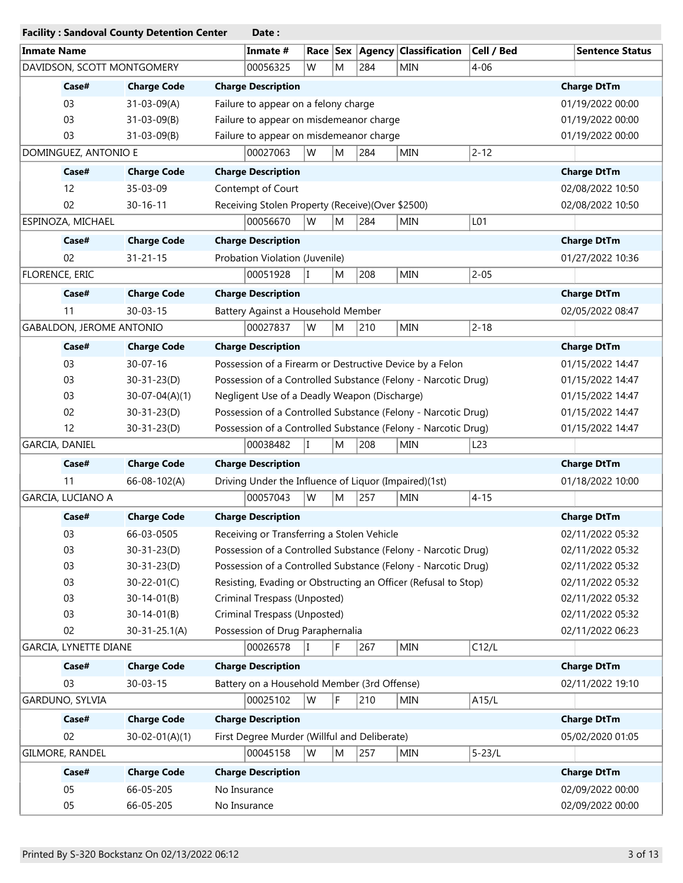|                                 | <b>Facility: Sandoval County Detention Center</b> | Date:                                                                                                        |                        |
|---------------------------------|---------------------------------------------------|--------------------------------------------------------------------------------------------------------------|------------------------|
| <b>Inmate Name</b>              |                                                   | <b>Agency Classification</b><br>Cell / Bed<br>Inmate #<br>Race $ $ Sex                                       | <b>Sentence Status</b> |
| DAVIDSON, SCOTT MONTGOMERY      |                                                   | $4 - 06$<br>00056325<br>W<br>M<br>284<br>MIN                                                                 |                        |
| Case#                           | <b>Charge Code</b>                                | <b>Charge Description</b>                                                                                    | <b>Charge DtTm</b>     |
| 03                              | $31 - 03 - 09(A)$                                 | Failure to appear on a felony charge                                                                         | 01/19/2022 00:00       |
| 03                              | $31 - 03 - 09(B)$                                 | Failure to appear on misdemeanor charge                                                                      | 01/19/2022 00:00       |
| 03                              | $31 - 03 - 09(B)$                                 | Failure to appear on misdemeanor charge                                                                      | 01/19/2022 00:00       |
| DOMINGUEZ, ANTONIO E            |                                                   | $2 - 12$<br>W<br>284<br>00027063<br>M<br><b>MIN</b>                                                          |                        |
| Case#                           | <b>Charge Code</b>                                | <b>Charge Description</b>                                                                                    | <b>Charge DtTm</b>     |
| 12                              | 35-03-09                                          | Contempt of Court                                                                                            | 02/08/2022 10:50       |
| 02                              | $30 - 16 - 11$                                    | Receiving Stolen Property (Receive)(Over \$2500)                                                             | 02/08/2022 10:50       |
| ESPINOZA, MICHAEL               |                                                   | 00056670<br>W<br>284<br><b>MIN</b><br>L01<br>M                                                               |                        |
| Case#                           | <b>Charge Code</b>                                | <b>Charge Description</b>                                                                                    | <b>Charge DtTm</b>     |
| 02                              | $31 - 21 - 15$                                    | Probation Violation (Juvenile)                                                                               | 01/27/2022 10:36       |
| FLORENCE, ERIC                  |                                                   | $2 - 05$<br>00051928<br>208<br>MIN<br>lT.<br>M                                                               |                        |
| Case#                           | <b>Charge Code</b>                                | <b>Charge Description</b>                                                                                    | <b>Charge DtTm</b>     |
| 11                              | $30 - 03 - 15$                                    | Battery Against a Household Member                                                                           | 02/05/2022 08:47       |
| <b>GABALDON, JEROME ANTONIO</b> |                                                   | 00027837<br> W<br>M<br>210<br><b>MIN</b><br>$2 - 18$                                                         |                        |
| Case#                           | <b>Charge Code</b>                                | <b>Charge Description</b>                                                                                    | <b>Charge DtTm</b>     |
| 03                              | $30 - 07 - 16$                                    | Possession of a Firearm or Destructive Device by a Felon                                                     | 01/15/2022 14:47       |
| 03                              | $30 - 31 - 23(D)$                                 | Possession of a Controlled Substance (Felony - Narcotic Drug)                                                | 01/15/2022 14:47       |
| 03                              | $30-07-04(A)(1)$                                  | Negligent Use of a Deadly Weapon (Discharge)                                                                 | 01/15/2022 14:47       |
| 02                              | $30 - 31 - 23(D)$                                 | Possession of a Controlled Substance (Felony - Narcotic Drug)                                                | 01/15/2022 14:47       |
| 12                              | $30 - 31 - 23(D)$                                 | Possession of a Controlled Substance (Felony - Narcotic Drug)                                                | 01/15/2022 14:47       |
| GARCIA, DANIEL                  |                                                   | 208<br>00038482<br>lT.<br>M<br><b>MIN</b><br>L <sub>23</sub>                                                 |                        |
|                                 |                                                   |                                                                                                              |                        |
| Case#                           | <b>Charge Code</b>                                | <b>Charge Description</b>                                                                                    | <b>Charge DtTm</b>     |
| 11                              | 66-08-102(A)                                      | Driving Under the Influence of Liquor (Impaired)(1st)<br>00057043<br>W<br>257<br>$4 - 15$<br>M<br><b>MIN</b> | 01/18/2022 10:00       |
| GARCIA, LUCIANO A               |                                                   |                                                                                                              |                        |
| Case#                           | <b>Charge Code</b>                                | <b>Charge Description</b>                                                                                    | <b>Charge DtTm</b>     |
| 03                              | 66-03-0505                                        | Receiving or Transferring a Stolen Vehicle                                                                   | 02/11/2022 05:32       |
| 03                              | $30 - 31 - 23(D)$                                 | Possession of a Controlled Substance (Felony - Narcotic Drug)                                                | 02/11/2022 05:32       |
| 03                              | $30 - 31 - 23(D)$                                 | Possession of a Controlled Substance (Felony - Narcotic Drug)                                                | 02/11/2022 05:32       |
| 03                              | $30 - 22 - 01(C)$                                 | Resisting, Evading or Obstructing an Officer (Refusal to Stop)                                               | 02/11/2022 05:32       |
| 03                              | $30 - 14 - 01(B)$                                 | Criminal Trespass (Unposted)                                                                                 | 02/11/2022 05:32       |
| 03                              | $30 - 14 - 01(B)$                                 | Criminal Trespass (Unposted)                                                                                 | 02/11/2022 05:32       |
| 02                              | $30 - 31 - 25.1(A)$                               | Possession of Drug Paraphernalia                                                                             | 02/11/2022 06:23       |
| GARCIA, LYNETTE DIANE           |                                                   | 00026578<br>F<br>C12/L<br>267<br>MIN<br>lT.                                                                  |                        |
| Case#                           | <b>Charge Code</b>                                | <b>Charge Description</b>                                                                                    | <b>Charge DtTm</b>     |
| 03                              | $30 - 03 - 15$                                    | Battery on a Household Member (3rd Offense)                                                                  | 02/11/2022 19:10       |
| GARDUNO, SYLVIA                 |                                                   | F<br>00025102<br>W<br>210<br>A15/L<br>MIN                                                                    |                        |
| Case#                           | <b>Charge Code</b>                                | <b>Charge Description</b>                                                                                    | <b>Charge DtTm</b>     |
| 02                              | $30 - 02 - 01(A)(1)$                              | First Degree Murder (Willful and Deliberate)                                                                 | 05/02/2020 01:05       |
| GILMORE, RANDEL                 |                                                   | 00045158<br>W<br>257<br>$5 - 23/L$<br>M<br><b>MIN</b>                                                        |                        |
| Case#                           | <b>Charge Code</b>                                | <b>Charge Description</b>                                                                                    | <b>Charge DtTm</b>     |
| 05                              | 66-05-205                                         | No Insurance                                                                                                 | 02/09/2022 00:00       |
| 05                              | 66-05-205                                         | No Insurance                                                                                                 | 02/09/2022 00:00       |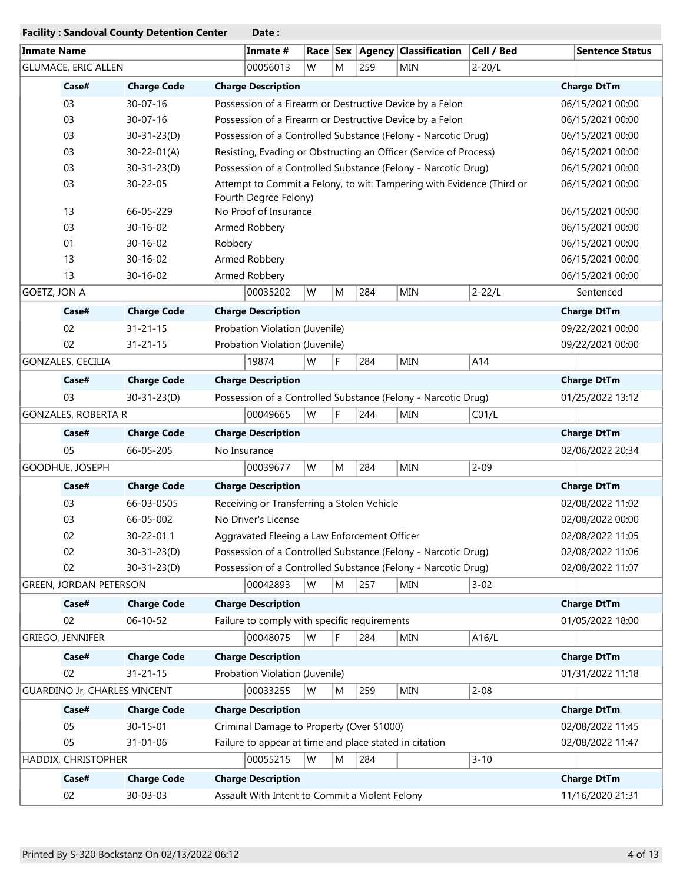|                     |                                     | <b>Facility: Sandoval County Detention Center</b> |         | Date:                                                             |                                                                       |   |                  |                                                               |            |  |                        |
|---------------------|-------------------------------------|---------------------------------------------------|---------|-------------------------------------------------------------------|-----------------------------------------------------------------------|---|------------------|---------------------------------------------------------------|------------|--|------------------------|
| <b>Inmate Name</b>  |                                     |                                                   |         | Inmate #                                                          |                                                                       |   |                  | Race Sex Agency Classification                                | Cell / Bed |  | <b>Sentence Status</b> |
|                     | <b>GLUMACE, ERIC ALLEN</b>          |                                                   |         | 00056013                                                          | W                                                                     | M | 259              | <b>MIN</b>                                                    | $2 - 20/L$ |  |                        |
|                     | Case#                               | <b>Charge Code</b>                                |         | <b>Charge Description</b>                                         |                                                                       |   |                  |                                                               |            |  | <b>Charge DtTm</b>     |
|                     | 03                                  | $30 - 07 - 16$                                    |         |                                                                   |                                                                       |   |                  | Possession of a Firearm or Destructive Device by a Felon      |            |  | 06/15/2021 00:00       |
|                     | 03                                  | $30 - 07 - 16$                                    |         | Possession of a Firearm or Destructive Device by a Felon          |                                                                       |   | 06/15/2021 00:00 |                                                               |            |  |                        |
|                     | 03                                  | $30 - 31 - 23(D)$                                 |         | Possession of a Controlled Substance (Felony - Narcotic Drug)     |                                                                       |   | 06/15/2021 00:00 |                                                               |            |  |                        |
|                     | 03                                  | $30 - 22 - 01(A)$                                 |         | Resisting, Evading or Obstructing an Officer (Service of Process) |                                                                       |   | 06/15/2021 00:00 |                                                               |            |  |                        |
|                     | 03                                  | $30 - 31 - 23(D)$                                 |         | Possession of a Controlled Substance (Felony - Narcotic Drug)     |                                                                       |   | 06/15/2021 00:00 |                                                               |            |  |                        |
|                     | 03                                  | 30-22-05                                          |         | Fourth Degree Felony)                                             | Attempt to Commit a Felony, to wit: Tampering with Evidence (Third or |   | 06/15/2021 00:00 |                                                               |            |  |                        |
|                     | 13                                  | 66-05-229                                         |         | No Proof of Insurance                                             |                                                                       |   |                  |                                                               |            |  | 06/15/2021 00:00       |
|                     | 03                                  | $30 - 16 - 02$                                    |         | Armed Robbery<br>06/15/2021 00:00                                 |                                                                       |   |                  |                                                               |            |  |                        |
|                     | 01                                  | $30 - 16 - 02$                                    | Robbery |                                                                   |                                                                       |   |                  |                                                               |            |  | 06/15/2021 00:00       |
|                     | 13                                  | 30-16-02                                          |         | Armed Robbery                                                     |                                                                       |   |                  |                                                               |            |  | 06/15/2021 00:00       |
|                     | 13                                  | 30-16-02                                          |         | Armed Robbery                                                     |                                                                       |   |                  |                                                               |            |  | 06/15/2021 00:00       |
| <b>GOETZ, JON A</b> |                                     |                                                   |         | 00035202                                                          | W                                                                     | M | 284              | <b>MIN</b>                                                    | $2 - 22/L$ |  | Sentenced              |
|                     | Case#                               | <b>Charge Code</b>                                |         | <b>Charge Description</b>                                         |                                                                       |   |                  |                                                               |            |  | <b>Charge DtTm</b>     |
|                     | 02                                  | $31 - 21 - 15$                                    |         | Probation Violation (Juvenile)                                    |                                                                       |   |                  |                                                               |            |  | 09/22/2021 00:00       |
|                     | 02                                  | $31 - 21 - 15$                                    |         | Probation Violation (Juvenile)                                    |                                                                       |   |                  |                                                               |            |  | 09/22/2021 00:00       |
|                     | GONZALES, CECILIA                   |                                                   |         | 19874                                                             | W                                                                     | F | 284              | <b>MIN</b>                                                    | A14        |  |                        |
|                     | Case#                               | <b>Charge Code</b>                                |         | <b>Charge Description</b>                                         |                                                                       |   |                  |                                                               |            |  | <b>Charge DtTm</b>     |
|                     | 03                                  | $30 - 31 - 23(D)$                                 |         |                                                                   |                                                                       |   |                  | Possession of a Controlled Substance (Felony - Narcotic Drug) |            |  | 01/25/2022 13:12       |
|                     | <b>GONZALES, ROBERTA R</b>          |                                                   |         | 00049665                                                          | W                                                                     | F | 244              | MIN                                                           | CO1/L      |  |                        |
|                     | Case#                               | <b>Charge Code</b>                                |         | <b>Charge Description</b>                                         |                                                                       |   |                  |                                                               |            |  | <b>Charge DtTm</b>     |
|                     | 05                                  | 66-05-205                                         |         | No Insurance                                                      |                                                                       |   |                  |                                                               |            |  | 02/06/2022 20:34       |
|                     | GOODHUE, JOSEPH                     |                                                   |         | 00039677                                                          | W                                                                     | M | 284              | <b>MIN</b>                                                    | $2 - 09$   |  |                        |
|                     | Case#                               | <b>Charge Code</b>                                |         | <b>Charge Description</b>                                         |                                                                       |   |                  |                                                               |            |  | <b>Charge DtTm</b>     |
|                     | 03                                  | 66-03-0505                                        |         | Receiving or Transferring a Stolen Vehicle                        |                                                                       |   |                  |                                                               |            |  | 02/08/2022 11:02       |
|                     | 03                                  | 66-05-002                                         |         | No Driver's License                                               |                                                                       |   |                  |                                                               |            |  | 02/08/2022 00:00       |
|                     | 02                                  | 30-22-01.1                                        |         | Aggravated Fleeing a Law Enforcement Officer                      |                                                                       |   |                  |                                                               |            |  | 02/08/2022 11:05       |
|                     | 02                                  | $30 - 31 - 23(D)$                                 |         |                                                                   |                                                                       |   |                  | Possession of a Controlled Substance (Felony - Narcotic Drug) |            |  | 02/08/2022 11:06       |
|                     | 02                                  | $30 - 31 - 23(D)$                                 |         |                                                                   |                                                                       |   |                  | Possession of a Controlled Substance (Felony - Narcotic Drug) |            |  | 02/08/2022 11:07       |
|                     | <b>GREEN, JORDAN PETERSON</b>       |                                                   |         | 00042893                                                          | W                                                                     | M | 257              | <b>MIN</b>                                                    | $3 - 02$   |  |                        |
|                     | Case#                               | <b>Charge Code</b>                                |         | <b>Charge Description</b>                                         |                                                                       |   |                  |                                                               |            |  | <b>Charge DtTm</b>     |
|                     | 02                                  | $06 - 10 - 52$                                    |         | Failure to comply with specific requirements                      |                                                                       |   |                  |                                                               |            |  | 01/05/2022 18:00       |
|                     | GRIEGO, JENNIFER                    |                                                   |         | 00048075                                                          | W                                                                     | F | 284              | <b>MIN</b>                                                    | A16/L      |  |                        |
|                     | Case#                               | <b>Charge Code</b>                                |         | <b>Charge Description</b>                                         |                                                                       |   |                  |                                                               |            |  | <b>Charge DtTm</b>     |
|                     | 02                                  | $31 - 21 - 15$                                    |         | Probation Violation (Juvenile)                                    |                                                                       |   |                  |                                                               |            |  | 01/31/2022 11:18       |
|                     | <b>GUARDINO Jr, CHARLES VINCENT</b> |                                                   |         | 00033255                                                          | W                                                                     | M | 259              | MIN                                                           | $2 - 08$   |  |                        |
|                     | Case#                               | <b>Charge Code</b>                                |         | <b>Charge Description</b>                                         |                                                                       |   |                  |                                                               |            |  | <b>Charge DtTm</b>     |
|                     | 05                                  | $30 - 15 - 01$                                    |         | Criminal Damage to Property (Over \$1000)                         |                                                                       |   |                  |                                                               |            |  | 02/08/2022 11:45       |
|                     | 05                                  | 31-01-06                                          |         | Failure to appear at time and place stated in citation            |                                                                       |   |                  |                                                               |            |  | 02/08/2022 11:47       |
|                     | HADDIX, CHRISTOPHER                 |                                                   |         | 00055215                                                          | W                                                                     | M | 284              |                                                               | $3 - 10$   |  |                        |
|                     | Case#                               | <b>Charge Code</b>                                |         | <b>Charge Description</b>                                         |                                                                       |   |                  |                                                               |            |  | <b>Charge DtTm</b>     |
|                     | 02                                  | 30-03-03                                          |         | Assault With Intent to Commit a Violent Felony                    |                                                                       |   |                  |                                                               |            |  | 11/16/2020 21:31       |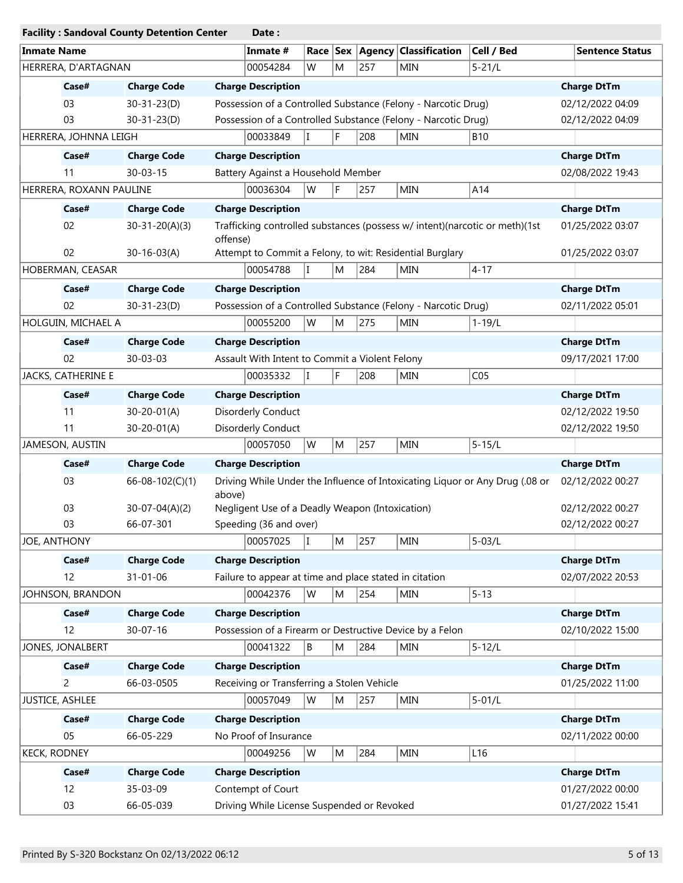|                    |                         |                               | <b>Facility: Sandoval County Detention Center</b> | Date:                                                                       |   |           |     |                                                               |                                                                              |                        |                  |  |  |
|--------------------|-------------------------|-------------------------------|---------------------------------------------------|-----------------------------------------------------------------------------|---|-----------|-----|---------------------------------------------------------------|------------------------------------------------------------------------------|------------------------|------------------|--|--|
| <b>Inmate Name</b> |                         |                               |                                                   | Inmate #                                                                    |   |           |     | Race   Sex   Agency   Classification                          | Cell / Bed                                                                   | <b>Sentence Status</b> |                  |  |  |
|                    | HERRERA, D'ARTAGNAN     |                               |                                                   | 00054284                                                                    | W | M         | 257 | <b>MIN</b>                                                    | $5 - 21/L$                                                                   |                        |                  |  |  |
|                    | Case#                   | <b>Charge Code</b>            |                                                   | <b>Charge Description</b>                                                   |   |           |     |                                                               |                                                                              | <b>Charge DtTm</b>     |                  |  |  |
|                    | 03                      | $30 - 31 - 23(D)$             |                                                   |                                                                             |   |           |     | Possession of a Controlled Substance (Felony - Narcotic Drug) |                                                                              | 02/12/2022 04:09       |                  |  |  |
|                    | 03                      | $30 - 31 - 23(D)$             |                                                   |                                                                             |   |           |     | Possession of a Controlled Substance (Felony - Narcotic Drug) |                                                                              | 02/12/2022 04:09       |                  |  |  |
|                    | HERRERA, JOHNNA LEIGH   |                               |                                                   | 00033849<br>T                                                               |   | F         | 208 | <b>MIN</b>                                                    | <b>B10</b>                                                                   |                        |                  |  |  |
|                    | Case#                   | <b>Charge Code</b>            |                                                   | <b>Charge Description</b>                                                   |   |           |     |                                                               |                                                                              | <b>Charge DtTm</b>     |                  |  |  |
|                    | 11                      | $30 - 03 - 15$                |                                                   | Battery Against a Household Member                                          |   |           |     |                                                               |                                                                              | 02/08/2022 19:43       |                  |  |  |
|                    | HERRERA, ROXANN PAULINE |                               |                                                   | 00036304                                                                    | W | F         | 257 | MIN                                                           | A14                                                                          |                        |                  |  |  |
|                    | Case#                   | <b>Charge Code</b>            |                                                   | <b>Charge Description</b>                                                   |   |           |     |                                                               |                                                                              | <b>Charge DtTm</b>     |                  |  |  |
|                    | 02                      | $30 - 31 - 20(A)(3)$          | offense)                                          | Trafficking controlled substances (possess w/ intent)(narcotic or meth)(1st |   |           |     |                                                               |                                                                              |                        | 01/25/2022 03:07 |  |  |
|                    | 02                      | $30 - 16 - 03(A)$             |                                                   | Attempt to Commit a Felony, to wit: Residential Burglary                    |   |           |     |                                                               |                                                                              |                        | 01/25/2022 03:07 |  |  |
|                    | HOBERMAN, CEASAR        |                               |                                                   | 00054788<br>T                                                               |   | M         | 284 | <b>MIN</b>                                                    | $4 - 17$                                                                     |                        |                  |  |  |
|                    | Case#                   | <b>Charge Code</b>            |                                                   | <b>Charge Description</b>                                                   |   |           |     |                                                               |                                                                              | <b>Charge DtTm</b>     |                  |  |  |
|                    | 02                      | $30 - 31 - 23(D)$             |                                                   |                                                                             |   |           |     | Possession of a Controlled Substance (Felony - Narcotic Drug) |                                                                              | 02/11/2022 05:01       |                  |  |  |
|                    | HOLGUIN, MICHAEL A      |                               |                                                   | 00055200                                                                    | W | M         | 275 | MIN                                                           | $1 - 19/L$                                                                   |                        |                  |  |  |
|                    | Case#                   | <b>Charge Code</b>            |                                                   | <b>Charge Description</b>                                                   |   |           |     |                                                               |                                                                              | <b>Charge DtTm</b>     |                  |  |  |
|                    | 02                      | 30-03-03                      |                                                   | Assault With Intent to Commit a Violent Felony                              |   |           |     |                                                               |                                                                              | 09/17/2021 17:00       |                  |  |  |
|                    | JACKS, CATHERINE E      |                               |                                                   | 00035332                                                                    |   | F         | 208 | MIN                                                           | CO <sub>5</sub>                                                              |                        |                  |  |  |
|                    | Case#                   | <b>Charge Code</b>            |                                                   | <b>Charge Description</b>                                                   |   |           |     |                                                               |                                                                              | <b>Charge DtTm</b>     |                  |  |  |
|                    | 11                      | $30 - 20 - 01(A)$             |                                                   | Disorderly Conduct                                                          |   |           |     |                                                               |                                                                              | 02/12/2022 19:50       |                  |  |  |
|                    | 11                      | $30 - 20 - 01(A)$             |                                                   | Disorderly Conduct                                                          |   |           |     |                                                               |                                                                              | 02/12/2022 19:50       |                  |  |  |
|                    | JAMESON, AUSTIN         |                               |                                                   | 00057050                                                                    | W | M         | 257 | <b>MIN</b>                                                    | $5 - 15/L$                                                                   |                        |                  |  |  |
|                    | Case#                   | <b>Charge Code</b>            |                                                   | <b>Charge Description</b>                                                   |   |           |     |                                                               |                                                                              | <b>Charge DtTm</b>     |                  |  |  |
|                    | 03                      | $66 - 08 - 102(C)(1)$         | above)                                            |                                                                             |   |           |     |                                                               | Driving While Under the Influence of Intoxicating Liquor or Any Drug (.08 or | 02/12/2022 00:27       |                  |  |  |
|                    | 03                      | $30-07-04(A)(2)$              |                                                   |                                                                             |   |           |     |                                                               |                                                                              | 02/12/2022 00:27       |                  |  |  |
|                    | 03                      | 66-07-301                     |                                                   | Speeding (36 and over)                                                      |   |           |     | Negligent Use of a Deadly Weapon (Intoxication)               |                                                                              |                        |                  |  |  |
|                    |                         |                               |                                                   |                                                                             |   |           |     |                                                               |                                                                              | 02/12/2022 00:27       |                  |  |  |
|                    |                         | 00057025<br>I<br>JOE, ANTHONY |                                                   |                                                                             |   |           |     | MIN                                                           | $5 - 03/L$                                                                   |                        |                  |  |  |
|                    | Case#                   | <b>Charge Code</b>            |                                                   | <b>Charge Description</b>                                                   |   | M         | 257 |                                                               |                                                                              | <b>Charge DtTm</b>     |                  |  |  |
|                    | 12                      | 31-01-06                      |                                                   | Failure to appear at time and place stated in citation                      |   |           |     |                                                               |                                                                              | 02/07/2022 20:53       |                  |  |  |
|                    | JOHNSON, BRANDON        |                               |                                                   | 00042376                                                                    | W | M         | 254 | MIN                                                           | $5 - 13$                                                                     |                        |                  |  |  |
|                    | Case#                   | <b>Charge Code</b>            |                                                   | <b>Charge Description</b>                                                   |   |           |     |                                                               |                                                                              | <b>Charge DtTm</b>     |                  |  |  |
|                    | 12                      | $30 - 07 - 16$                |                                                   |                                                                             |   |           |     | Possession of a Firearm or Destructive Device by a Felon      |                                                                              | 02/10/2022 15:00       |                  |  |  |
|                    | JONES, JONALBERT        |                               |                                                   | 00041322                                                                    | B | ${\sf M}$ | 284 | MIN                                                           | $5 - 12/L$                                                                   |                        |                  |  |  |
|                    | Case#                   | <b>Charge Code</b>            |                                                   | <b>Charge Description</b>                                                   |   |           |     |                                                               |                                                                              | <b>Charge DtTm</b>     |                  |  |  |
|                    | 2                       | 66-03-0505                    |                                                   | Receiving or Transferring a Stolen Vehicle                                  |   |           |     |                                                               |                                                                              | 01/25/2022 11:00       |                  |  |  |
|                    | JUSTICE, ASHLEE         |                               |                                                   | 00057049                                                                    | W | M         | 257 | MIN                                                           | $5 - 01/L$                                                                   |                        |                  |  |  |
|                    | Case#                   | <b>Charge Code</b>            |                                                   | <b>Charge Description</b>                                                   |   |           |     |                                                               |                                                                              | <b>Charge DtTm</b>     |                  |  |  |
|                    | 05                      | 66-05-229                     |                                                   | No Proof of Insurance                                                       |   |           |     |                                                               |                                                                              | 02/11/2022 00:00       |                  |  |  |
|                    | <b>KECK, RODNEY</b>     |                               |                                                   | 00049256                                                                    | W | M         | 284 | MIN                                                           | L <sub>16</sub>                                                              |                        |                  |  |  |
|                    | Case#                   | <b>Charge Code</b>            |                                                   | <b>Charge Description</b>                                                   |   |           |     |                                                               |                                                                              | <b>Charge DtTm</b>     |                  |  |  |
|                    | 12                      | 35-03-09                      |                                                   | Contempt of Court                                                           |   |           |     |                                                               |                                                                              | 01/27/2022 00:00       |                  |  |  |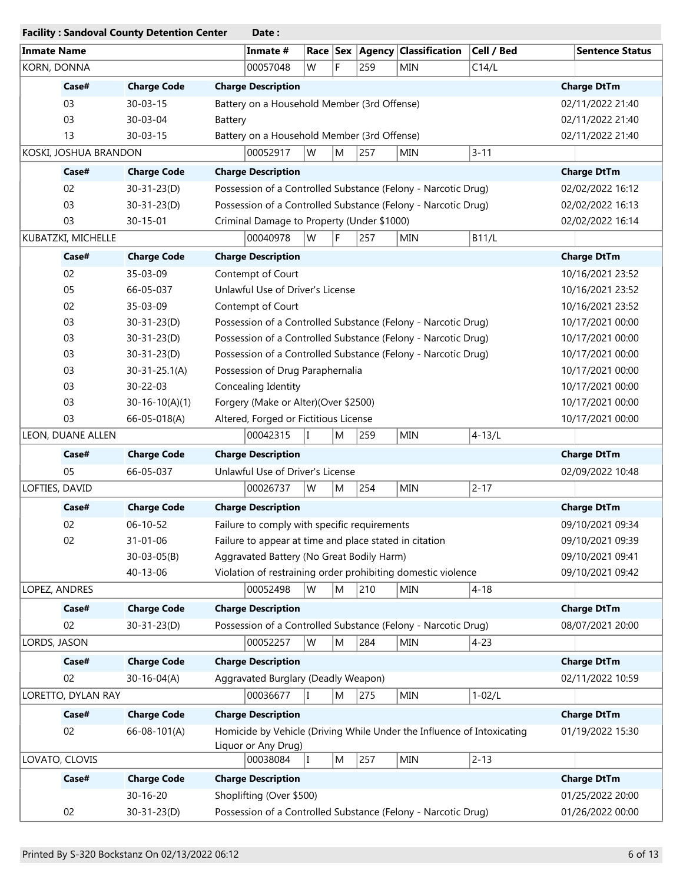|                    |                       | <b>Facility: Sandoval County Detention Center</b> |                                                               | Date:                                                   |    |                  |                  |                                                                        |              |                  |                                      |
|--------------------|-----------------------|---------------------------------------------------|---------------------------------------------------------------|---------------------------------------------------------|----|------------------|------------------|------------------------------------------------------------------------|--------------|------------------|--------------------------------------|
| <b>Inmate Name</b> |                       |                                                   |                                                               | Inmate #                                                |    |                  |                  | Race   Sex   Agency   Classification                                   | Cell / Bed   |                  | <b>Sentence Status</b>               |
| KORN, DONNA        |                       |                                                   |                                                               | 00057048                                                | W  | F.               | 259              | <b>MIN</b>                                                             | C14/L        |                  |                                      |
|                    | Case#                 | <b>Charge Code</b>                                | <b>Charge Description</b>                                     |                                                         |    |                  |                  |                                                                        |              |                  | <b>Charge DtTm</b>                   |
|                    | 03                    | $30 - 03 - 15$                                    | Battery on a Household Member (3rd Offense)                   |                                                         |    |                  |                  |                                                                        |              |                  | 02/11/2022 21:40                     |
|                    | 03                    | 30-03-04                                          | Battery                                                       |                                                         |    |                  |                  |                                                                        |              |                  | 02/11/2022 21:40                     |
|                    | 13                    | $30 - 03 - 15$                                    | Battery on a Household Member (3rd Offense)                   |                                                         |    |                  |                  |                                                                        |              |                  | 02/11/2022 21:40                     |
|                    | KOSKI, JOSHUA BRANDON |                                                   |                                                               | 00052917                                                | W  | M                | 257              | <b>MIN</b>                                                             | $3 - 11$     |                  |                                      |
|                    | Case#                 | <b>Charge Code</b>                                | <b>Charge Description</b>                                     |                                                         |    |                  |                  |                                                                        |              |                  | <b>Charge DtTm</b>                   |
|                    | 02                    | $30 - 31 - 23(D)$                                 |                                                               |                                                         |    |                  |                  | Possession of a Controlled Substance (Felony - Narcotic Drug)          |              | 02/02/2022 16:12 |                                      |
|                    | 03                    | $30 - 31 - 23(D)$                                 |                                                               |                                                         |    |                  |                  | Possession of a Controlled Substance (Felony - Narcotic Drug)          |              | 02/02/2022 16:13 |                                      |
|                    | 03                    | $30 - 15 - 01$                                    |                                                               | Criminal Damage to Property (Under \$1000)              |    |                  |                  |                                                                        |              |                  | 02/02/2022 16:14                     |
|                    | KUBATZKI, MICHELLE    |                                                   |                                                               | 00040978                                                | W  | F                | 257              | MIN                                                                    | <b>B11/L</b> |                  |                                      |
|                    | Case#                 | <b>Charge Code</b>                                | <b>Charge Description</b>                                     |                                                         |    |                  |                  |                                                                        |              |                  | <b>Charge DtTm</b>                   |
|                    | 02                    | 35-03-09                                          | Contempt of Court                                             |                                                         |    |                  |                  |                                                                        |              |                  | 10/16/2021 23:52                     |
|                    | 05                    | 66-05-037                                         | Unlawful Use of Driver's License                              |                                                         |    |                  |                  |                                                                        |              |                  | 10/16/2021 23:52                     |
|                    | 02                    | 35-03-09                                          | Contempt of Court                                             |                                                         |    |                  |                  |                                                                        |              |                  | 10/16/2021 23:52                     |
|                    | 03                    | $30 - 31 - 23(D)$                                 |                                                               |                                                         |    |                  |                  | Possession of a Controlled Substance (Felony - Narcotic Drug)          |              |                  | 10/17/2021 00:00                     |
|                    | 03                    | $30 - 31 - 23(D)$                                 |                                                               |                                                         |    |                  |                  | Possession of a Controlled Substance (Felony - Narcotic Drug)          |              |                  | 10/17/2021 00:00                     |
|                    | 03                    | $30 - 31 - 23(D)$                                 | Possession of a Controlled Substance (Felony - Narcotic Drug) |                                                         |    |                  | 10/17/2021 00:00 |                                                                        |              |                  |                                      |
|                    | 03                    | $30-31-25.1(A)$                                   |                                                               |                                                         |    | 10/17/2021 00:00 |                  |                                                                        |              |                  |                                      |
|                    | 03                    | 30-22-03                                          |                                                               | Possession of Drug Paraphernalia<br>Concealing Identity |    |                  |                  |                                                                        |              |                  | 10/17/2021 00:00                     |
|                    | 03                    | $30-16-10(A)(1)$                                  |                                                               | Forgery (Make or Alter)(Over \$2500)                    |    |                  |                  |                                                                        |              |                  | 10/17/2021 00:00                     |
|                    | 03                    | 66-05-018(A)                                      |                                                               | Altered, Forged or Fictitious License                   |    |                  |                  |                                                                        |              |                  | 10/17/2021 00:00                     |
|                    | LEON, DUANE ALLEN     |                                                   |                                                               | 00042315                                                | ΙT | M                | 259              | <b>MIN</b>                                                             | $4 - 13/L$   |                  |                                      |
|                    | Case#                 | <b>Charge Code</b>                                | <b>Charge Description</b>                                     |                                                         |    |                  |                  |                                                                        |              |                  | <b>Charge DtTm</b>                   |
|                    | 05                    | 66-05-037                                         | Unlawful Use of Driver's License                              |                                                         |    |                  |                  |                                                                        |              |                  | 02/09/2022 10:48                     |
| LOFTIES, DAVID     |                       |                                                   |                                                               | 00026737                                                | W  | M                | 254              | <b>MIN</b>                                                             | $2 - 17$     |                  |                                      |
|                    | Case#                 | <b>Charge Code</b>                                | <b>Charge Description</b>                                     |                                                         |    |                  |                  |                                                                        |              |                  | <b>Charge DtTm</b>                   |
|                    |                       |                                                   |                                                               |                                                         |    |                  |                  |                                                                        |              |                  |                                      |
|                    | 02                    | $06 - 10 - 52$                                    | Failure to comply with specific requirements                  |                                                         |    |                  |                  |                                                                        |              |                  | 09/10/2021 09:34                     |
|                    | 02                    | $31 - 01 - 06$                                    | Aggravated Battery (No Great Bodily Harm)                     |                                                         |    |                  |                  | Failure to appear at time and place stated in citation                 |              |                  | 09/10/2021 09:39                     |
|                    |                       | $30 - 03 - 05(B)$                                 |                                                               |                                                         |    |                  |                  |                                                                        |              |                  | 09/10/2021 09:41<br>09/10/2021 09:42 |
|                    |                       | 40-13-06                                          |                                                               | 00052498                                                |    |                  |                  | Violation of restraining order prohibiting domestic violence           |              |                  |                                      |
| LOPEZ, ANDRES      |                       |                                                   |                                                               |                                                         | W  | M                | 210              | <b>MIN</b>                                                             | $4 - 18$     |                  |                                      |
|                    | Case#                 | <b>Charge Code</b>                                | <b>Charge Description</b>                                     |                                                         |    |                  |                  |                                                                        |              |                  | <b>Charge DtTm</b>                   |
|                    | 02                    | $30 - 31 - 23(D)$                                 |                                                               |                                                         |    |                  |                  | Possession of a Controlled Substance (Felony - Narcotic Drug)          |              |                  | 08/07/2021 20:00                     |
| LORDS, JASON       |                       |                                                   |                                                               | 00052257                                                | W  | M                | 284              | <b>MIN</b>                                                             | $4 - 23$     |                  |                                      |
|                    | Case#                 | <b>Charge Code</b>                                | <b>Charge Description</b>                                     |                                                         |    |                  |                  |                                                                        |              |                  | <b>Charge DtTm</b>                   |
|                    | 02                    | $30 - 16 - 04(A)$                                 | Aggravated Burglary (Deadly Weapon)                           |                                                         |    |                  |                  |                                                                        |              |                  | 02/11/2022 10:59                     |
|                    | LORETTO, DYLAN RAY    |                                                   |                                                               | 00036677                                                |    | M                | 275              | <b>MIN</b>                                                             | $1 - 02/L$   |                  |                                      |
|                    | Case#                 | <b>Charge Code</b>                                | <b>Charge Description</b>                                     |                                                         |    |                  |                  |                                                                        |              |                  | <b>Charge DtTm</b>                   |
|                    | 02                    | 66-08-101(A)                                      | Liquor or Any Drug)                                           |                                                         |    |                  |                  | Homicide by Vehicle (Driving While Under the Influence of Intoxicating |              |                  | 01/19/2022 15:30                     |
|                    | LOVATO, CLOVIS        |                                                   |                                                               | 00038084                                                | I  | M                | 257              | <b>MIN</b>                                                             | $2 - 13$     |                  |                                      |
|                    | Case#                 | <b>Charge Code</b>                                |                                                               | <b>Charge Description</b>                               |    |                  |                  |                                                                        |              |                  | <b>Charge DtTm</b>                   |
|                    |                       | $30 - 16 - 20$                                    | Shoplifting (Over \$500)                                      |                                                         |    |                  |                  |                                                                        |              |                  | 01/25/2022 20:00                     |
|                    | 02                    | $30 - 31 - 23(D)$                                 |                                                               |                                                         |    |                  |                  | Possession of a Controlled Substance (Felony - Narcotic Drug)          |              |                  | 01/26/2022 00:00                     |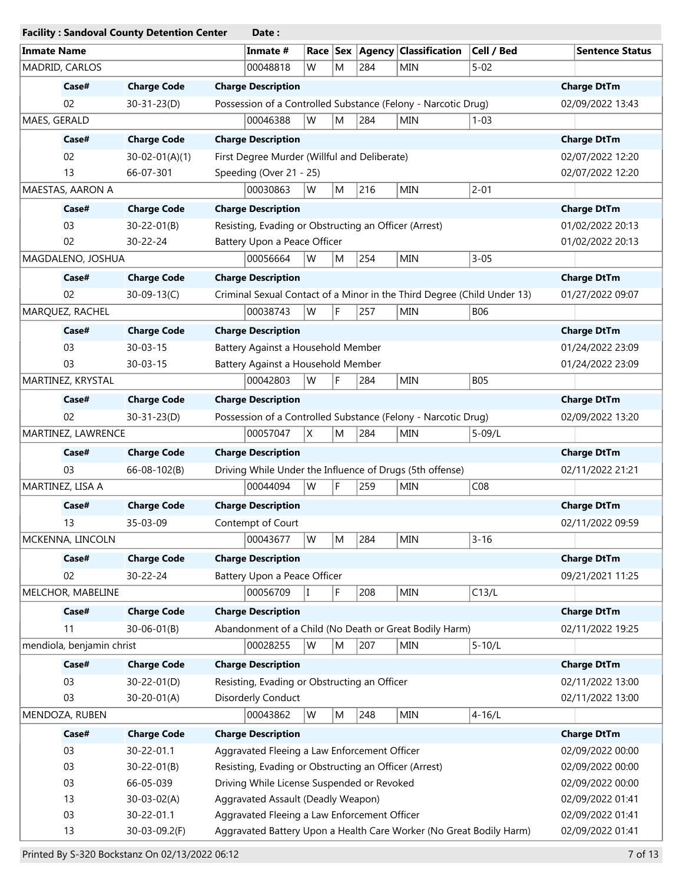| <b>Facility: Sandoval County Detention Center</b> |                    | Date:                                                                   |                        |
|---------------------------------------------------|--------------------|-------------------------------------------------------------------------|------------------------|
| <b>Inmate Name</b>                                |                    | Cell / Bed<br>Inmate #<br>Race Sex Agency Classification                | <b>Sentence Status</b> |
| MADRID, CARLOS                                    |                    | $5 - 02$<br>00048818<br>W<br>M<br>284<br><b>MIN</b>                     |                        |
| Case#                                             | <b>Charge Code</b> | <b>Charge Description</b>                                               | <b>Charge DtTm</b>     |
| 02                                                | $30 - 31 - 23(D)$  | Possession of a Controlled Substance (Felony - Narcotic Drug)           | 02/09/2022 13:43       |
| MAES, GERALD                                      |                    | 284<br>W<br>M<br><b>MIN</b><br>$1 - 03$<br>00046388                     |                        |
| Case#                                             | <b>Charge Code</b> | <b>Charge Description</b>                                               | <b>Charge DtTm</b>     |
| 02                                                | $30-02-01(A)(1)$   | First Degree Murder (Willful and Deliberate)                            | 02/07/2022 12:20       |
| 13                                                | 66-07-301          | Speeding (Over 21 - 25)                                                 | 02/07/2022 12:20       |
| MAESTAS, AARON A                                  |                    | $2 - 01$<br>00030863<br>216<br>MIN<br>W<br>M                            |                        |
| Case#                                             | <b>Charge Code</b> | <b>Charge Description</b>                                               | <b>Charge DtTm</b>     |
| 03                                                | $30 - 22 - 01(B)$  | Resisting, Evading or Obstructing an Officer (Arrest)                   | 01/02/2022 20:13       |
| 02                                                | 30-22-24           | Battery Upon a Peace Officer                                            | 01/02/2022 20:13       |
| MAGDALENO, JOSHUA                                 |                    | 254<br><b>MIN</b><br>$3 - 05$<br>00056664<br>W<br>M                     |                        |
| Case#                                             |                    |                                                                         |                        |
|                                                   | <b>Charge Code</b> | <b>Charge Description</b>                                               | <b>Charge DtTm</b>     |
| 02                                                | $30 - 09 - 13(C)$  | Criminal Sexual Contact of a Minor in the Third Degree (Child Under 13) | 01/27/2022 09:07       |
| MARQUEZ, RACHEL                                   |                    | F<br>257<br><b>MIN</b><br>00038743<br>W<br><b>B06</b>                   |                        |
| Case#                                             | <b>Charge Code</b> | <b>Charge Description</b>                                               | <b>Charge DtTm</b>     |
| 03                                                | $30 - 03 - 15$     | Battery Against a Household Member                                      | 01/24/2022 23:09       |
| 03                                                | $30 - 03 - 15$     | Battery Against a Household Member                                      | 01/24/2022 23:09       |
| MARTINEZ, KRYSTAL                                 |                    | 00042803<br>F<br>284<br><b>MIN</b><br><b>B05</b><br>W                   |                        |
| Case#                                             | <b>Charge Code</b> | <b>Charge Description</b>                                               | <b>Charge DtTm</b>     |
| 02                                                | $30 - 31 - 23(D)$  | Possession of a Controlled Substance (Felony - Narcotic Drug)           | 02/09/2022 13:20       |
| MARTINEZ, LAWRENCE                                |                    | 00057047<br>X<br>284<br>$5 - 09/L$<br>M<br><b>MIN</b>                   |                        |
| Case#                                             | <b>Charge Code</b> | <b>Charge Description</b>                                               | <b>Charge DtTm</b>     |
| 03                                                | 66-08-102(B)       | Driving While Under the Influence of Drugs (5th offense)                | 02/11/2022 21:21       |
| MARTINEZ, LISA A                                  |                    | F<br>259<br>CO8<br>00044094<br>W<br><b>MIN</b>                          |                        |
| Case#                                             | <b>Charge Code</b> | <b>Charge Description</b>                                               | <b>Charge DtTm</b>     |
| 13                                                | 35-03-09           | Contempt of Court                                                       | 02/11/2022 09:59       |
| MCKENNA, LINCOLN                                  |                    | $3 - 16$<br>284<br><b>MIN</b><br>00043677<br>W<br>M                     |                        |
| Case#                                             | <b>Charge Code</b> | <b>Charge Description</b>                                               | <b>Charge DtTm</b>     |
|                                                   |                    |                                                                         |                        |
| 02                                                | 30-22-24           | Battery Upon a Peace Officer<br>T                                       | 09/21/2021 11:25       |
| MELCHOR, MABELINE                                 |                    | 00056709<br>F<br>208<br>MIN<br>C13/L                                    |                        |
| Case#                                             | <b>Charge Code</b> | <b>Charge Description</b>                                               | <b>Charge DtTm</b>     |
| 11                                                | $30 - 06 - 01(B)$  | Abandonment of a Child (No Death or Great Bodily Harm)                  | 02/11/2022 19:25       |
| mendiola, benjamin christ                         |                    | 00028255<br>207<br>$5 - 10/L$<br>W<br>M<br><b>MIN</b>                   |                        |
| Case#                                             | <b>Charge Code</b> | <b>Charge Description</b>                                               | <b>Charge DtTm</b>     |
| 03                                                | $30 - 22 - 01(D)$  | Resisting, Evading or Obstructing an Officer                            | 02/11/2022 13:00       |
| 03                                                | $30 - 20 - 01(A)$  | Disorderly Conduct                                                      | 02/11/2022 13:00       |
| MENDOZA, RUBEN                                    |                    | 00043862<br>W<br>MIN<br>$4 - 16/L$<br>248<br>M                          |                        |
| Case#                                             | <b>Charge Code</b> | <b>Charge Description</b>                                               | <b>Charge DtTm</b>     |
| 03                                                | 30-22-01.1         | Aggravated Fleeing a Law Enforcement Officer                            | 02/09/2022 00:00       |
| 03                                                | $30 - 22 - 01(B)$  | Resisting, Evading or Obstructing an Officer (Arrest)                   | 02/09/2022 00:00       |
| 03                                                | 66-05-039          | Driving While License Suspended or Revoked                              | 02/09/2022 00:00       |
| 13                                                | $30 - 03 - 02(A)$  | Aggravated Assault (Deadly Weapon)                                      | 02/09/2022 01:41       |
| 03                                                | 30-22-01.1         | Aggravated Fleeing a Law Enforcement Officer                            | 02/09/2022 01:41       |
| 13                                                | 30-03-09.2(F)      | Aggravated Battery Upon a Health Care Worker (No Great Bodily Harm)     | 02/09/2022 01:41       |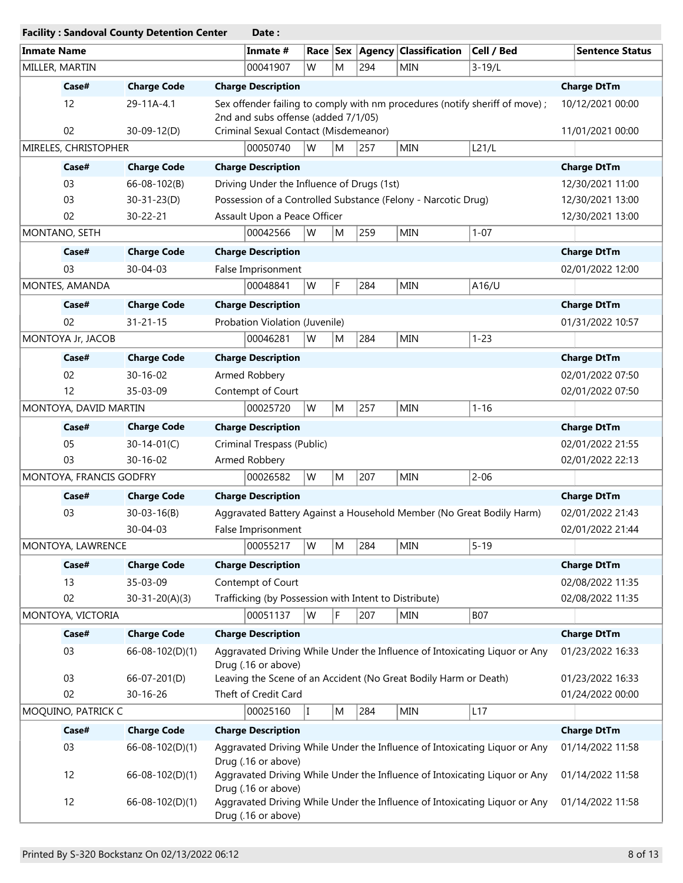|                         | <b>Facility: Sandoval County Detention Center</b> | Date:                                                                                                               |                                      |
|-------------------------|---------------------------------------------------|---------------------------------------------------------------------------------------------------------------------|--------------------------------------|
| <b>Inmate Name</b>      |                                                   | Cell / Bed<br>Inmate #<br>Race   Sex   Agency   Classification                                                      | <b>Sentence Status</b>               |
| MILLER, MARTIN          |                                                   | $3 - 19/L$<br>00041907<br>W<br>M<br>294<br>MIN                                                                      |                                      |
| Case#                   | <b>Charge Code</b>                                | <b>Charge Description</b>                                                                                           | <b>Charge DtTm</b>                   |
| 12                      | 29-11A-4.1                                        | Sex offender failing to comply with nm procedures (notify sheriff of move) ;<br>2nd and subs offense (added 7/1/05) | 10/12/2021 00:00                     |
| 02                      | $30 - 09 - 12(D)$                                 | Criminal Sexual Contact (Misdemeanor)                                                                               | 11/01/2021 00:00                     |
| MIRELES, CHRISTOPHER    |                                                   | W<br>00050740<br>257<br>MIN<br>L21/L<br>M                                                                           |                                      |
| Case#                   | <b>Charge Code</b>                                | <b>Charge Description</b>                                                                                           | <b>Charge DtTm</b>                   |
| 03                      | $66 - 08 - 102(B)$                                | Driving Under the Influence of Drugs (1st)                                                                          | 12/30/2021 11:00                     |
| 03                      | $30 - 31 - 23(D)$                                 | Possession of a Controlled Substance (Felony - Narcotic Drug)                                                       | 12/30/2021 13:00                     |
| 02                      | 30-22-21                                          | Assault Upon a Peace Officer                                                                                        | 12/30/2021 13:00                     |
| MONTANO, SETH           |                                                   | 00042566<br>W<br>259<br><b>MIN</b><br>$1 - 07$<br>M                                                                 |                                      |
| Case#                   | <b>Charge Code</b>                                | <b>Charge Description</b>                                                                                           | <b>Charge DtTm</b>                   |
| 03                      | 30-04-03                                          | False Imprisonment                                                                                                  | 02/01/2022 12:00                     |
| MONTES, AMANDA          |                                                   | F.<br>W<br>284<br><b>MIN</b><br>00048841<br>A16/U                                                                   |                                      |
| Case#                   | <b>Charge Code</b>                                | <b>Charge Description</b>                                                                                           | <b>Charge DtTm</b>                   |
| 02                      | $31 - 21 - 15$                                    | Probation Violation (Juvenile)                                                                                      | 01/31/2022 10:57                     |
| MONTOYA Jr, JACOB       |                                                   | 284<br>MIN<br>$1 - 23$<br>00046281<br>W<br>M                                                                        |                                      |
| Case#                   | <b>Charge Code</b>                                | <b>Charge Description</b>                                                                                           | <b>Charge DtTm</b>                   |
| 02                      | $30 - 16 - 02$                                    | Armed Robbery                                                                                                       | 02/01/2022 07:50                     |
| 12                      | 35-03-09                                          | Contempt of Court                                                                                                   | 02/01/2022 07:50                     |
| MONTOYA, DAVID MARTIN   |                                                   | 257<br>$1 - 16$<br>00025720<br>W<br>M<br>MIN                                                                        |                                      |
| Case#                   | <b>Charge Code</b>                                | <b>Charge Description</b>                                                                                           | <b>Charge DtTm</b>                   |
| 05                      | $30 - 14 - 01(C)$                                 | Criminal Trespass (Public)                                                                                          | 02/01/2022 21:55                     |
| 03                      | $30 - 16 - 02$                                    | Armed Robbery                                                                                                       | 02/01/2022 22:13                     |
| MONTOYA, FRANCIS GODFRY |                                                   | $2 - 06$<br>00026582<br>W<br>207<br>MIN<br>M                                                                        |                                      |
| Case#                   | <b>Charge Code</b>                                | <b>Charge Description</b>                                                                                           |                                      |
|                         |                                                   |                                                                                                                     | <b>Charge DtTm</b>                   |
| 03                      | $30 - 03 - 16(B)$<br>30-04-03                     | Aggravated Battery Against a Household Member (No Great Bodily Harm)<br>False Imprisonment                          | 02/01/2022 21:43<br>02/01/2022 21:44 |
| MONTOYA, LAWRENCE       |                                                   | 00055217<br>284<br>MIN<br>$5 - 19$<br>W<br>M                                                                        |                                      |
| Case#                   | <b>Charge Code</b>                                | <b>Charge Description</b>                                                                                           | <b>Charge DtTm</b>                   |
| 13                      | 35-03-09                                          | Contempt of Court                                                                                                   | 02/08/2022 11:35                     |
| 02                      | $30-31-20(A)(3)$                                  | Trafficking (by Possession with Intent to Distribute)                                                               | 02/08/2022 11:35                     |
| MONTOYA, VICTORIA       |                                                   | F<br>207<br>00051137<br>W<br>MIN<br><b>B07</b>                                                                      |                                      |
| Case#                   | <b>Charge Code</b>                                | <b>Charge Description</b>                                                                                           | <b>Charge DtTm</b>                   |
| 03                      | 66-08-102(D)(1)                                   | Aggravated Driving While Under the Influence of Intoxicating Liquor or Any<br>Drug (.16 or above)                   | 01/23/2022 16:33                     |
| 03                      | 66-07-201(D)                                      | Leaving the Scene of an Accident (No Great Bodily Harm or Death)                                                    | 01/23/2022 16:33                     |
| 02                      | 30-16-26                                          | Theft of Credit Card                                                                                                | 01/24/2022 00:00                     |
| MOQUINO, PATRICK C      |                                                   | 00025160<br>284<br>MIN<br>L17<br>M<br>T                                                                             |                                      |
| Case#                   | <b>Charge Code</b>                                | <b>Charge Description</b>                                                                                           | <b>Charge DtTm</b>                   |
| 03                      | 66-08-102(D)(1)                                   | Aggravated Driving While Under the Influence of Intoxicating Liquor or Any<br>Drug (.16 or above)                   | 01/14/2022 11:58                     |
| 12                      | 66-08-102(D)(1)                                   | Aggravated Driving While Under the Influence of Intoxicating Liquor or Any<br>Drug (.16 or above)                   | 01/14/2022 11:58                     |
| 12                      | 66-08-102(D)(1)                                   | Aggravated Driving While Under the Influence of Intoxicating Liquor or Any<br>Drug (.16 or above)                   | 01/14/2022 11:58                     |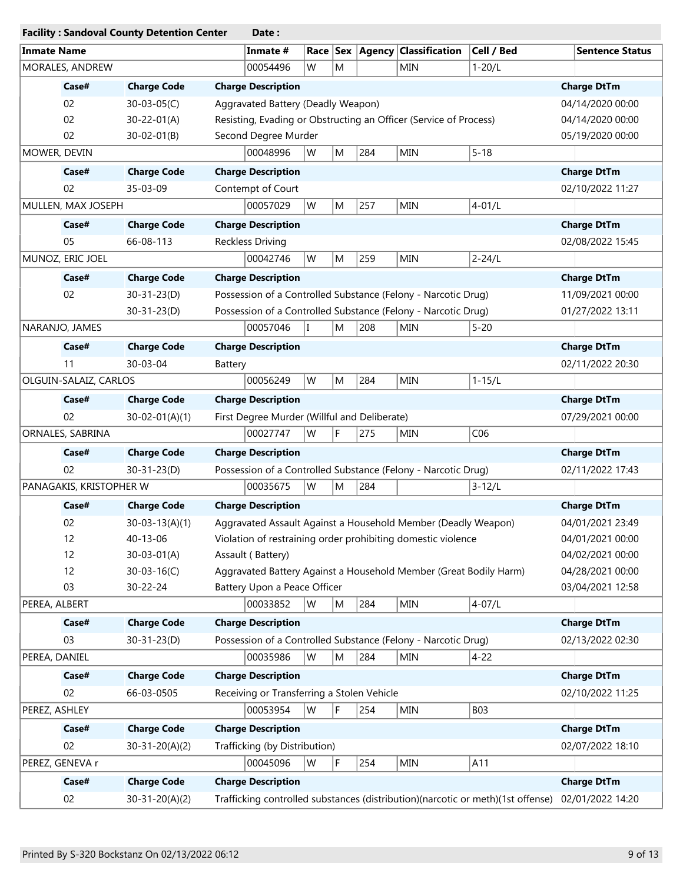|                         | <b>Facility: Sandoval County Detention Center</b> | Date:                                                                           |                        |
|-------------------------|---------------------------------------------------|---------------------------------------------------------------------------------|------------------------|
| <b>Inmate Name</b>      |                                                   | Race   Sex   Agency   Classification<br>Inmate #<br>Cell / Bed                  | <b>Sentence Status</b> |
| MORALES, ANDREW         |                                                   | 00054496<br>W<br>M<br><b>MIN</b><br>$1 - 20/L$                                  |                        |
| Case#                   | <b>Charge Code</b>                                | <b>Charge Description</b>                                                       | <b>Charge DtTm</b>     |
| 02                      | $30 - 03 - 05(C)$                                 | Aggravated Battery (Deadly Weapon)                                              | 04/14/2020 00:00       |
| 02                      | $30 - 22 - 01(A)$                                 | Resisting, Evading or Obstructing an Officer (Service of Process)               | 04/14/2020 00:00       |
| 02                      | $30 - 02 - 01(B)$                                 | Second Degree Murder                                                            | 05/19/2020 00:00       |
| MOWER, DEVIN            |                                                   | 284<br><b>MIN</b><br>$5 - 18$<br>00048996<br>W<br>M                             |                        |
| Case#                   | <b>Charge Code</b>                                | <b>Charge Description</b>                                                       | <b>Charge DtTm</b>     |
| 02                      | 35-03-09                                          | Contempt of Court                                                               | 02/10/2022 11:27       |
| MULLEN, MAX JOSEPH      |                                                   | 00057029<br>W<br>M<br>257<br><b>MIN</b><br>$4 - 01/L$                           |                        |
| Case#                   | <b>Charge Code</b>                                | <b>Charge Description</b>                                                       | <b>Charge DtTm</b>     |
| 05                      | 66-08-113                                         | Reckless Driving                                                                | 02/08/2022 15:45       |
| MUNOZ, ERIC JOEL        |                                                   | 259<br>00042746<br>W<br>M<br><b>MIN</b><br>$2 - 24/L$                           |                        |
| Case#                   | <b>Charge Code</b>                                | <b>Charge Description</b>                                                       | <b>Charge DtTm</b>     |
| 02                      | $30 - 31 - 23(D)$                                 | Possession of a Controlled Substance (Felony - Narcotic Drug)                   | 11/09/2021 00:00       |
|                         | 30-31-23(D)                                       | Possession of a Controlled Substance (Felony - Narcotic Drug)                   | 01/27/2022 13:11       |
| NARANJO, JAMES          |                                                   | 00057046<br>208<br>M<br><b>MIN</b><br>$5 - 20$<br>T                             |                        |
| Case#                   | <b>Charge Code</b>                                | <b>Charge Description</b>                                                       | <b>Charge DtTm</b>     |
| 11                      | 30-03-04                                          | Battery                                                                         | 02/11/2022 20:30       |
| OLGUIN-SALAIZ, CARLOS   |                                                   | $1 - 15/L$<br>W<br>M<br>284<br><b>MIN</b><br>00056249                           |                        |
|                         |                                                   |                                                                                 |                        |
| Case#                   | <b>Charge Code</b>                                | <b>Charge Description</b>                                                       | <b>Charge DtTm</b>     |
| 02                      | $30 - 02 - 01(A)(1)$                              | First Degree Murder (Willful and Deliberate)                                    | 07/29/2021 00:00       |
| ORNALES, SABRINA        |                                                   | F<br>275<br>00027747<br>W<br>MIN<br>C <sub>06</sub>                             |                        |
| Case#                   | <b>Charge Code</b>                                | <b>Charge Description</b>                                                       | <b>Charge DtTm</b>     |
| 02                      | $30 - 31 - 23(D)$                                 | Possession of a Controlled Substance (Felony - Narcotic Drug)                   | 02/11/2022 17:43       |
| PANAGAKIS, KRISTOPHER W |                                                   | 00035675<br>W<br>284<br>M<br>$3 - 12/L$                                         |                        |
| Case#                   | <b>Charge Code</b>                                | <b>Charge Description</b>                                                       | <b>Charge DtTm</b>     |
| 02                      | $30 - 03 - 13(A)(1)$                              | Aggravated Assault Against a Household Member (Deadly Weapon)                   | 04/01/2021 23:49       |
| 12                      | 40-13-06                                          | Violation of restraining order prohibiting domestic violence                    | 04/01/2021 00:00       |
| 12                      | $30 - 03 - 01(A)$                                 | Assault (Battery)                                                               | 04/02/2021 00:00       |
| 12                      | $30 - 03 - 16(C)$                                 | Aggravated Battery Against a Household Member (Great Bodily Harm)               | 04/28/2021 00:00       |
| 03                      | 30-22-24                                          | Battery Upon a Peace Officer                                                    | 03/04/2021 12:58       |
| PEREA, ALBERT           |                                                   | 00033852<br>284<br>MIN<br>$4 - 07/L$<br>W<br>M                                  |                        |
| Case#                   | <b>Charge Code</b>                                | <b>Charge Description</b>                                                       | <b>Charge DtTm</b>     |
| 03                      | $30 - 31 - 23(D)$                                 | Possession of a Controlled Substance (Felony - Narcotic Drug)                   | 02/13/2022 02:30       |
| PEREA, DANIEL           |                                                   | 00035986<br>W<br>M<br>284<br>MIN<br>$4 - 22$                                    |                        |
| Case#                   | <b>Charge Code</b>                                | <b>Charge Description</b>                                                       | <b>Charge DtTm</b>     |
| 02                      | 66-03-0505                                        | Receiving or Transferring a Stolen Vehicle                                      | 02/10/2022 11:25       |
| PEREZ, ASHLEY           |                                                   | 254<br><b>MIN</b><br><b>B03</b><br>00053954<br>W<br>F                           |                        |
| Case#                   | <b>Charge Code</b>                                | <b>Charge Description</b>                                                       | <b>Charge DtTm</b>     |
| 02                      | $30-31-20(A)(2)$                                  | Trafficking (by Distribution)                                                   | 02/07/2022 18:10       |
| PEREZ, GENEVA r         |                                                   | F<br>254<br>A11<br>00045096<br>W<br><b>MIN</b>                                  |                        |
|                         |                                                   |                                                                                 |                        |
| Case#                   | <b>Charge Code</b>                                | <b>Charge Description</b>                                                       | <b>Charge DtTm</b>     |
| 02                      | $30-31-20(A)(2)$                                  | Trafficking controlled substances (distribution)(narcotic or meth)(1st offense) | 02/01/2022 14:20       |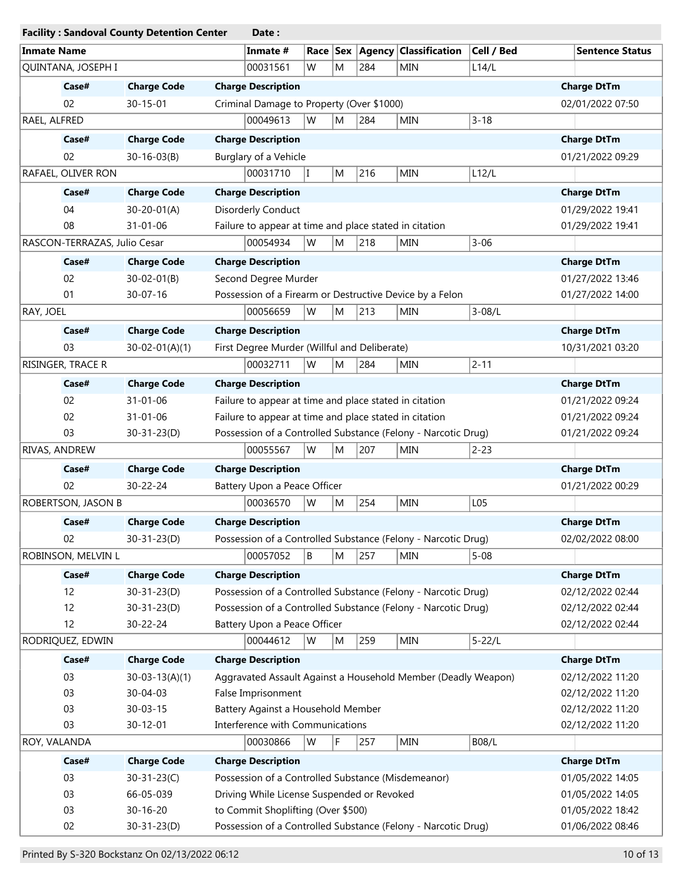|                              | <b>Facility: Sandoval County Detention Center</b> | Date:                                                                               |                                      |
|------------------------------|---------------------------------------------------|-------------------------------------------------------------------------------------|--------------------------------------|
| <b>Inmate Name</b>           |                                                   | Cell / Bed<br>Inmate #<br>Race Sex<br>$ $ Agency $ $<br><b>Classification</b>       | <b>Sentence Status</b>               |
| QUINTANA, JOSEPH I           |                                                   | 00031561<br>W<br>M<br>284<br>L14/L<br>MIN                                           |                                      |
| Case#                        | <b>Charge Code</b>                                | <b>Charge Description</b>                                                           | <b>Charge DtTm</b>                   |
| 02                           | $30 - 15 - 01$                                    | Criminal Damage to Property (Over \$1000)                                           | 02/01/2022 07:50                     |
| RAEL, ALFRED                 |                                                   | W<br>00049613<br>284<br><b>MIN</b><br>$3 - 18$<br>M                                 |                                      |
| Case#                        | <b>Charge Code</b>                                | <b>Charge Description</b>                                                           | <b>Charge DtTm</b>                   |
| 02                           | $30 - 16 - 03(B)$                                 | Burglary of a Vehicle                                                               | 01/21/2022 09:29                     |
| RAFAEL, OLIVER RON           |                                                   | 216<br>00031710<br>$\mathbf{I}$<br>M<br>MIN<br>L12/L                                |                                      |
| Case#                        | <b>Charge Code</b>                                | <b>Charge Description</b>                                                           | <b>Charge DtTm</b>                   |
| 04                           | $30 - 20 - 01(A)$                                 | Disorderly Conduct                                                                  | 01/29/2022 19:41                     |
| 08                           | $31 - 01 - 06$                                    | Failure to appear at time and place stated in citation                              | 01/29/2022 19:41                     |
| RASCON-TERRAZAS, Julio Cesar |                                                   | 00054934<br>W<br>M<br>218<br><b>MIN</b><br>$3 - 06$                                 |                                      |
| Case#                        | <b>Charge Code</b>                                | <b>Charge Description</b>                                                           | <b>Charge DtTm</b>                   |
| 02                           | $30 - 02 - 01(B)$                                 | Second Degree Murder                                                                | 01/27/2022 13:46                     |
| 01                           | 30-07-16                                          | Possession of a Firearm or Destructive Device by a Felon                            | 01/27/2022 14:00                     |
| RAY, JOEL                    |                                                   | 00056659<br>W<br>M<br>213<br>$3 - 08/L$<br><b>MIN</b>                               |                                      |
| Case#                        | <b>Charge Code</b>                                | <b>Charge Description</b>                                                           | <b>Charge DtTm</b>                   |
| 03                           | $30 - 02 - 01(A)(1)$                              | First Degree Murder (Willful and Deliberate)                                        | 10/31/2021 03:20                     |
| RISINGER, TRACE R            |                                                   | W<br>284<br>$2 - 11$<br>00032711<br>M<br><b>MIN</b>                                 |                                      |
| Case#                        | <b>Charge Code</b>                                | <b>Charge Description</b>                                                           | <b>Charge DtTm</b>                   |
| 02                           | $31 - 01 - 06$                                    | Failure to appear at time and place stated in citation                              | 01/21/2022 09:24                     |
| 02                           | $31 - 01 - 06$                                    | Failure to appear at time and place stated in citation                              | 01/21/2022 09:24                     |
| 03                           | $30 - 31 - 23(D)$                                 | Possession of a Controlled Substance (Felony - Narcotic Drug)                       | 01/21/2022 09:24                     |
| RIVAS, ANDREW                |                                                   | 00055567<br>W<br>M<br>207<br>$2 - 23$<br>MIN                                        |                                      |
| Case#                        | <b>Charge Code</b>                                | <b>Charge Description</b>                                                           | <b>Charge DtTm</b>                   |
| 02                           | 30-22-24                                          | Battery Upon a Peace Officer                                                        | 01/21/2022 00:29                     |
| ROBERTSON, JASON B           |                                                   | 00036570<br>W<br>254<br><b>MIN</b><br>L <sub>05</sub><br>M                          |                                      |
| Case#                        | <b>Charge Code</b>                                | <b>Charge Description</b>                                                           | <b>Charge DtTm</b>                   |
| 02                           | $30 - 31 - 23(D)$                                 | Possession of a Controlled Substance (Felony - Narcotic Drug)                       | 02/02/2022 08:00                     |
| ROBINSON, MELVIN L           |                                                   | 00057052<br>${\sf M}$<br>257<br>B<br>MIN<br>$5 - 08$                                |                                      |
| Case#                        | <b>Charge Code</b>                                | <b>Charge Description</b>                                                           | <b>Charge DtTm</b>                   |
| 12                           | $30 - 31 - 23(D)$                                 | Possession of a Controlled Substance (Felony - Narcotic Drug)                       | 02/12/2022 02:44                     |
| 12                           | $30 - 31 - 23(D)$                                 | Possession of a Controlled Substance (Felony - Narcotic Drug)                       | 02/12/2022 02:44                     |
| 12                           | 30-22-24                                          | Battery Upon a Peace Officer                                                        | 02/12/2022 02:44                     |
| RODRIQUEZ, EDWIN             |                                                   | $5 - 22/L$<br>00044612<br>W<br>259<br>MIN<br>M                                      |                                      |
| Case#                        | <b>Charge Code</b>                                | <b>Charge Description</b>                                                           | <b>Charge DtTm</b>                   |
| 03                           |                                                   |                                                                                     |                                      |
| 03                           | $30 - 03 - 13(A)(1)$<br>30-04-03                  | Aggravated Assault Against a Household Member (Deadly Weapon)<br>False Imprisonment | 02/12/2022 11:20<br>02/12/2022 11:20 |
| 03                           | $30 - 03 - 15$                                    | Battery Against a Household Member                                                  | 02/12/2022 11:20                     |
| 03                           | $30 - 12 - 01$                                    | Interference with Communications                                                    | 02/12/2022 11:20                     |
| ROY, VALANDA                 |                                                   | 00030866<br>W<br>F<br>257<br>MIN<br>B08/L                                           |                                      |
|                              |                                                   |                                                                                     |                                      |
| Case#                        | <b>Charge Code</b>                                | <b>Charge Description</b>                                                           | <b>Charge DtTm</b>                   |
| 03<br>03                     | $30 - 31 - 23(C)$<br>66-05-039                    | Possession of a Controlled Substance (Misdemeanor)                                  | 01/05/2022 14:05                     |
|                              |                                                   | Driving While License Suspended or Revoked                                          | 01/05/2022 14:05                     |
| 03<br>02                     | 30-16-20                                          | to Commit Shoplifting (Over \$500)                                                  | 01/05/2022 18:42                     |
|                              | $30 - 31 - 23(D)$                                 | Possession of a Controlled Substance (Felony - Narcotic Drug)                       | 01/06/2022 08:46                     |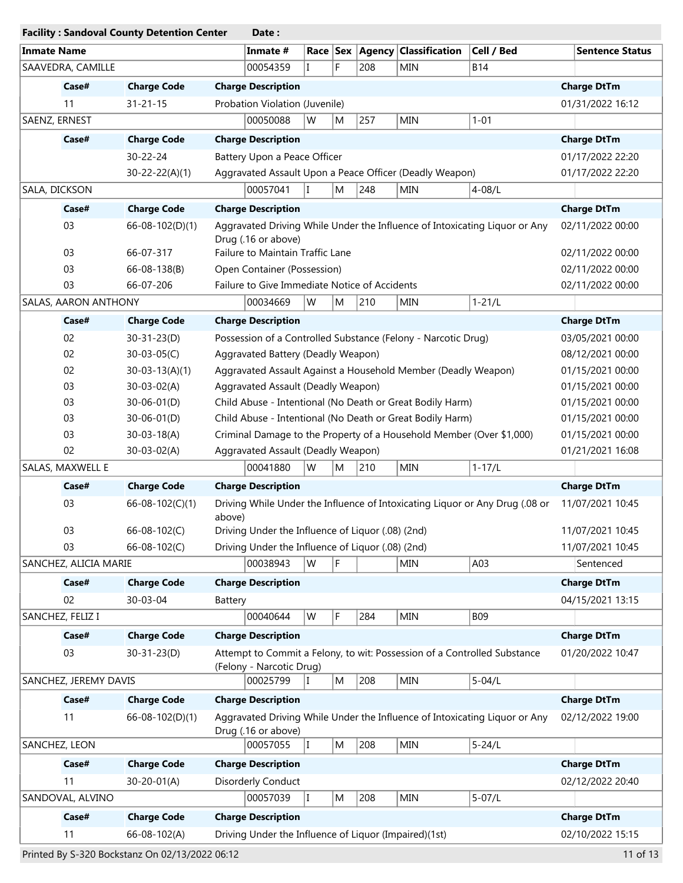| <b>Facility: Sandoval County Detention Center</b> |                       | Date:                                                                                                |                        |
|---------------------------------------------------|-----------------------|------------------------------------------------------------------------------------------------------|------------------------|
| <b>Inmate Name</b>                                |                       | Race Sex Agency Classification<br>Cell / Bed<br>Inmate #                                             | <b>Sentence Status</b> |
| SAAVEDRA, CAMILLE                                 |                       | F<br>00054359<br>208<br><b>B14</b><br><b>MIN</b>                                                     |                        |
| Case#                                             | <b>Charge Code</b>    | <b>Charge Description</b>                                                                            | <b>Charge DtTm</b>     |
| 11                                                | $31 - 21 - 15$        | Probation Violation (Juvenile)                                                                       | 01/31/2022 16:12       |
| SAENZ, ERNEST                                     |                       | 257<br>00050088<br>W<br><b>MIN</b><br>$1 - 01$<br>M                                                  |                        |
| Case#                                             | <b>Charge Code</b>    | <b>Charge Description</b>                                                                            | <b>Charge DtTm</b>     |
|                                                   | 30-22-24              | Battery Upon a Peace Officer                                                                         | 01/17/2022 22:20       |
|                                                   | $30 - 22 - 22(A)(1)$  | Aggravated Assault Upon a Peace Officer (Deadly Weapon)                                              | 01/17/2022 22:20       |
| SALA, DICKSON                                     |                       | 00057041<br>II.<br>M<br>248<br><b>MIN</b><br>$4 - 08/L$                                              |                        |
| Case#                                             | <b>Charge Code</b>    | <b>Charge Description</b>                                                                            | <b>Charge DtTm</b>     |
| 03                                                | $66 - 08 - 102(D)(1)$ | Aggravated Driving While Under the Influence of Intoxicating Liquor or Any                           | 02/11/2022 00:00       |
|                                                   |                       | Drug (.16 or above)                                                                                  |                        |
| 03                                                | 66-07-317             | Failure to Maintain Traffic Lane                                                                     | 02/11/2022 00:00       |
| 03                                                | 66-08-138(B)          | Open Container (Possession)                                                                          | 02/11/2022 00:00       |
| 03                                                | 66-07-206             | Failure to Give Immediate Notice of Accidents                                                        | 02/11/2022 00:00       |
| SALAS, AARON ANTHONY                              |                       | 00034669<br>W<br>210<br>$1 - 21/L$<br>M<br><b>MIN</b>                                                |                        |
| Case#                                             | <b>Charge Code</b>    | <b>Charge Description</b>                                                                            | <b>Charge DtTm</b>     |
| 02                                                | $30 - 31 - 23(D)$     | Possession of a Controlled Substance (Felony - Narcotic Drug)                                        | 03/05/2021 00:00       |
| 02                                                | $30 - 03 - 05(C)$     | Aggravated Battery (Deadly Weapon)                                                                   | 08/12/2021 00:00       |
| 02                                                | $30 - 03 - 13(A)(1)$  | Aggravated Assault Against a Household Member (Deadly Weapon)                                        | 01/15/2021 00:00       |
| 03                                                | $30 - 03 - 02(A)$     | Aggravated Assault (Deadly Weapon)                                                                   | 01/15/2021 00:00       |
| 03                                                | $30 - 06 - 01(D)$     | Child Abuse - Intentional (No Death or Great Bodily Harm)                                            | 01/15/2021 00:00       |
| 03                                                | $30 - 06 - 01(D)$     | Child Abuse - Intentional (No Death or Great Bodily Harm)                                            | 01/15/2021 00:00       |
| 03                                                | $30 - 03 - 18(A)$     | Criminal Damage to the Property of a Household Member (Over \$1,000)                                 | 01/15/2021 00:00       |
| 02                                                | $30 - 03 - 02(A)$     | Aggravated Assault (Deadly Weapon)                                                                   | 01/21/2021 16:08       |
| SALAS, MAXWELL E                                  |                       | W<br>$1 - 17/L$<br>00041880<br>210<br><b>MIN</b><br>M                                                |                        |
| Case#                                             | <b>Charge Code</b>    | <b>Charge Description</b>                                                                            | <b>Charge DtTm</b>     |
| 03                                                | 66-08-102(C)(1)       | Driving While Under the Influence of Intoxicating Liquor or Any Drug (.08 or<br>above)               | 11/07/2021 10:45       |
| 03                                                | 66-08-102(C)          | Driving Under the Influence of Liquor (.08) (2nd)                                                    | 11/07/2021 10:45       |
| 03                                                | 66-08-102(C)          | Driving Under the Influence of Liquor (.08) (2nd)                                                    | 11/07/2021 10:45       |
| SANCHEZ, ALICIA MARIE                             |                       | 00038943<br>W<br><b>MIN</b><br>A03<br>F.                                                             | Sentenced              |
| Case#                                             | <b>Charge Code</b>    | <b>Charge Description</b>                                                                            | <b>Charge DtTm</b>     |
| 02                                                | 30-03-04              | Battery                                                                                              | 04/15/2021 13:15       |
| SANCHEZ, FELIZ I                                  |                       | F<br>00040644<br>W<br>284<br>MIN<br><b>B09</b>                                                       |                        |
| Case#                                             | <b>Charge Code</b>    | <b>Charge Description</b>                                                                            | <b>Charge DtTm</b>     |
| 03                                                | $30 - 31 - 23(D)$     | Attempt to Commit a Felony, to wit: Possession of a Controlled Substance<br>(Felony - Narcotic Drug) | 01/20/2022 10:47       |
| SANCHEZ, JEREMY DAVIS                             |                       | 208<br>$5 - 04/L$<br>00025799<br>M<br>MIN<br>H.                                                      |                        |
| Case#                                             | <b>Charge Code</b>    | <b>Charge Description</b>                                                                            | <b>Charge DtTm</b>     |
| 11                                                | 66-08-102(D)(1)       | Aggravated Driving While Under the Influence of Intoxicating Liquor or Any<br>Drug (.16 or above)    | 02/12/2022 19:00       |
| SANCHEZ, LEON                                     |                       | 208<br>$5 - 24/L$<br>00057055<br>I.<br>M<br><b>MIN</b>                                               |                        |
| Case#                                             | <b>Charge Code</b>    | <b>Charge Description</b>                                                                            | <b>Charge DtTm</b>     |
| 11                                                | $30 - 20 - 01(A)$     | Disorderly Conduct                                                                                   | 02/12/2022 20:40       |
| SANDOVAL, ALVINO                                  |                       | 00057039<br>$5 - 07/L$<br>II.<br>208<br>MIN<br>M                                                     |                        |
| Case#                                             | <b>Charge Code</b>    | <b>Charge Description</b>                                                                            | <b>Charge DtTm</b>     |
| 11                                                | 66-08-102(A)          | Driving Under the Influence of Liquor (Impaired)(1st)                                                | 02/10/2022 15:15       |
|                                                   |                       |                                                                                                      |                        |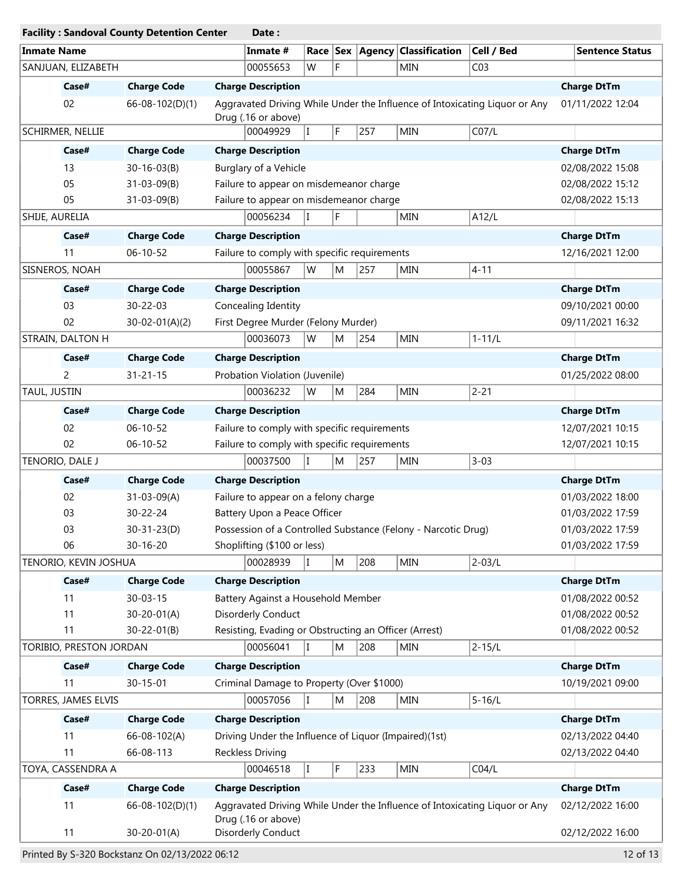| <b>Facility: Sandoval County Detention Center</b> |                                      | Date:                                                                                             |                        |
|---------------------------------------------------|--------------------------------------|---------------------------------------------------------------------------------------------------|------------------------|
| <b>Inmate Name</b>                                |                                      | Inmate #<br>Race Sex Agency Classification<br>Cell / Bed                                          | <b>Sentence Status</b> |
| SANJUAN, ELIZABETH                                |                                      | F<br>CO <sub>3</sub><br>00055653<br>W<br><b>MIN</b>                                               |                        |
| Case#                                             | <b>Charge Code</b>                   | <b>Charge Description</b>                                                                         | <b>Charge DtTm</b>     |
| 02                                                | $66 - 08 - 102(D)(1)$                | Aggravated Driving While Under the Influence of Intoxicating Liquor or Any                        | 01/11/2022 12:04       |
|                                                   |                                      | Drug (.16 or above)                                                                               |                        |
| SCHIRMER, NELLIE                                  |                                      | 00049929<br>F<br>CO7/L<br>$\mathsf{I}$<br>257<br><b>MIN</b>                                       |                        |
| Case#                                             | <b>Charge Code</b>                   | <b>Charge Description</b>                                                                         | <b>Charge DtTm</b>     |
| 13                                                | $30 - 16 - 03(B)$                    | Burglary of a Vehicle                                                                             | 02/08/2022 15:08       |
| 05                                                | $31 - 03 - 09(B)$                    | Failure to appear on misdemeanor charge                                                           | 02/08/2022 15:12       |
| 05                                                | $31 - 03 - 09(B)$                    | Failure to appear on misdemeanor charge                                                           | 02/08/2022 15:13       |
| SHIJE, AURELIA                                    |                                      | F<br>00056234<br><b>MIN</b><br>A12/L<br>T                                                         |                        |
| Case#                                             | <b>Charge Code</b>                   | <b>Charge Description</b>                                                                         | <b>Charge DtTm</b>     |
| 11                                                | $06 - 10 - 52$                       | Failure to comply with specific requirements                                                      | 12/16/2021 12:00       |
| SISNEROS, NOAH                                    |                                      | 00055867<br>W<br>257<br>$ 4 - 11 $<br>M<br>MIN                                                    |                        |
| Case#                                             | <b>Charge Code</b>                   | <b>Charge Description</b>                                                                         | <b>Charge DtTm</b>     |
| 03                                                | 30-22-03                             | Concealing Identity                                                                               | 09/10/2021 00:00       |
| 02                                                | $30-02-01(A)(2)$                     | First Degree Murder (Felony Murder)                                                               | 09/11/2021 16:32       |
| STRAIN, DALTON H                                  |                                      | 254<br><b>MIN</b><br>$1 - 11/L$<br>00036073<br>W<br>M                                             |                        |
| Case#                                             | <b>Charge Code</b>                   | <b>Charge Description</b>                                                                         | <b>Charge DtTm</b>     |
| 2                                                 | $31 - 21 - 15$                       | Probation Violation (Juvenile)                                                                    | 01/25/2022 08:00       |
| TAUL, JUSTIN                                      |                                      | $2 - 21$<br>284<br><b>MIN</b><br>00036232<br>W<br>M                                               |                        |
| Case#                                             |                                      |                                                                                                   |                        |
| 02                                                | <b>Charge Code</b><br>$06 - 10 - 52$ | <b>Charge Description</b>                                                                         | <b>Charge DtTm</b>     |
| 02                                                |                                      | Failure to comply with specific requirements                                                      | 12/07/2021 10:15       |
| TENORIO, DALE J                                   | 06-10-52                             | Failure to comply with specific requirements<br>00037500<br>257<br>$3 - 03$<br>T                  | 12/07/2021 10:15       |
|                                                   |                                      | <b>MIN</b><br>M                                                                                   |                        |
| Case#                                             | <b>Charge Code</b>                   | <b>Charge Description</b>                                                                         | <b>Charge DtTm</b>     |
| 02                                                | $31 - 03 - 09(A)$                    | Failure to appear on a felony charge                                                              | 01/03/2022 18:00       |
| 03                                                | 30-22-24                             | Battery Upon a Peace Officer                                                                      | 01/03/2022 17:59       |
| 03                                                | $30-31-23(D)$                        | Possession of a Controlled Substance (Felony - Narcotic Drug)                                     | 01/03/2022 17:59       |
| 06                                                | 30-16-20                             | Shoplifting (\$100 or less)                                                                       | 01/03/2022 17:59       |
| TENORIO, KEVIN JOSHUA                             |                                      | 208<br>$2 - 03/L$<br>00028939<br>M<br><b>MIN</b><br>I                                             |                        |
| Case#                                             | <b>Charge Code</b>                   | <b>Charge Description</b>                                                                         | <b>Charge DtTm</b>     |
| 11                                                | $30 - 03 - 15$                       | Battery Against a Household Member                                                                | 01/08/2022 00:52       |
| 11                                                | $30 - 20 - 01(A)$                    | Disorderly Conduct                                                                                | 01/08/2022 00:52       |
| 11                                                | $30 - 22 - 01(B)$                    | Resisting, Evading or Obstructing an Officer (Arrest)                                             | 01/08/2022 00:52       |
| TORIBIO, PRESTON JORDAN                           |                                      | $2 - 15/L$<br>00056041<br>208<br>M<br><b>MIN</b><br>T                                             |                        |
| Case#                                             | <b>Charge Code</b>                   | <b>Charge Description</b>                                                                         | <b>Charge DtTm</b>     |
| 11                                                | $30 - 15 - 01$                       | Criminal Damage to Property (Over \$1000)                                                         | 10/19/2021 09:00       |
| TORRES, JAMES ELVIS                               |                                      | 00057056<br>208<br>$5 - 16/L$<br>M<br><b>MIN</b><br>T                                             |                        |
| Case#                                             | <b>Charge Code</b>                   | <b>Charge Description</b>                                                                         | <b>Charge DtTm</b>     |
| 11                                                | 66-08-102(A)                         | Driving Under the Influence of Liquor (Impaired)(1st)                                             | 02/13/2022 04:40       |
| 11                                                | 66-08-113                            | <b>Reckless Driving</b>                                                                           | 02/13/2022 04:40       |
| TOYA, CASSENDRA A                                 |                                      | CO4/L<br>00046518<br>F<br>233<br>MIN<br>I                                                         |                        |
| Case#                                             | <b>Charge Code</b>                   | <b>Charge Description</b>                                                                         | <b>Charge DtTm</b>     |
| 11                                                | 66-08-102(D)(1)                      | Aggravated Driving While Under the Influence of Intoxicating Liquor or Any<br>Drug (.16 or above) | 02/12/2022 16:00       |
| 11                                                | $30 - 20 - 01(A)$                    | Disorderly Conduct                                                                                | 02/12/2022 16:00       |